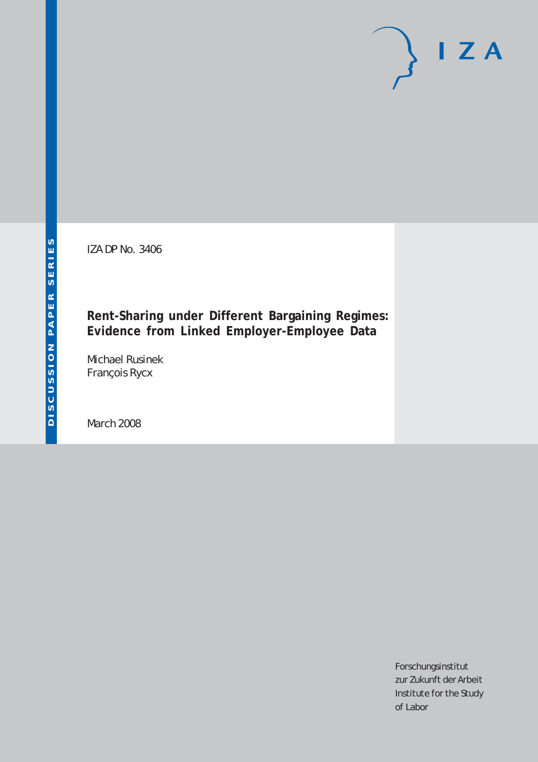IZA DP No. 3406

### **Rent-Sharing under Different Bargaining Regimes: Evidence from Linked Employer-Employee Data**

Michael Rusinek François Rycx

March 2008

Forschungsinstitut zur Zukunft der Arbeit Institute for the Study of Labor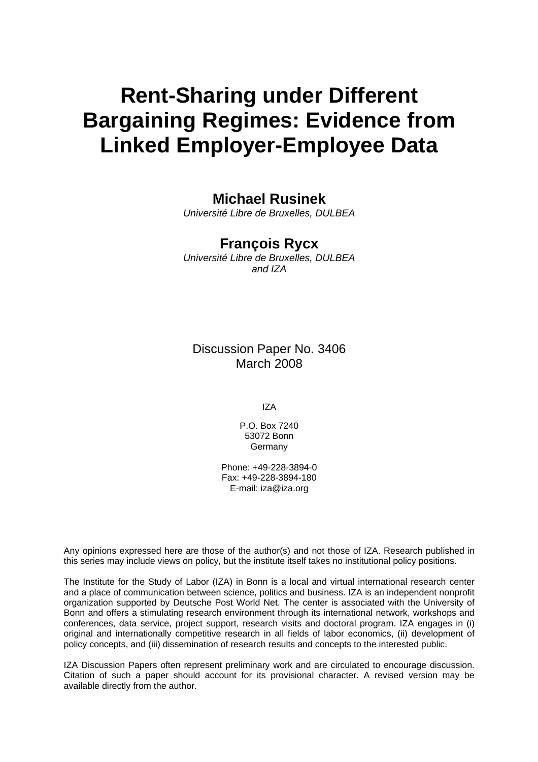# **Rent-Sharing under Different Bargaining Regimes: Evidence from Linked Employer-Employee Data**

### **Michael Rusinek**

*Université Libre de Bruxelles, DULBEA* 

### **François Rycx**

*Université Libre de Bruxelles, DULBEA and IZA* 

Discussion Paper No. 3406 March 2008

IZA

P.O. Box 7240 53072 Bonn Germany

Phone: +49-228-3894-0 Fax: +49-228-3894-180 E-mail: [iza@iza.org](mailto:iza@iza.org)

Any opinions expressed here are those of the author(s) and not those of IZA. Research published in this series may include views on policy, but the institute itself takes no institutional policy positions.

The Institute for the Study of Labor (IZA) in Bonn is a local and virtual international research center and a place of communication between science, politics and business. IZA is an independent nonprofit organization supported by Deutsche Post World Net. The center is associated with the University of Bonn and offers a stimulating research environment through its international network, workshops and conferences, data service, project support, research visits and doctoral program. IZA engages in (i) original and internationally competitive research in all fields of labor economics, (ii) development of policy concepts, and (iii) dissemination of research results and concepts to the interested public.

IZA Discussion Papers often represent preliminary work and are circulated to encourage discussion. Citation of such a paper should account for its provisional character. A revised version may be available directly from the author.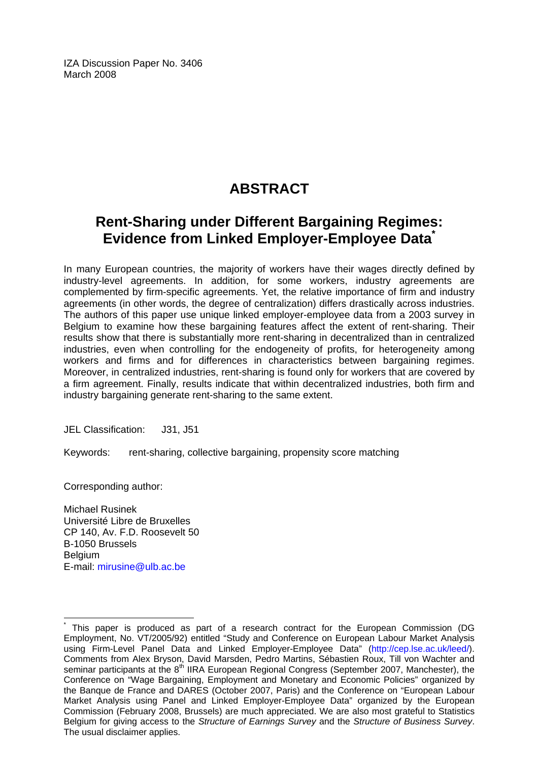IZA Discussion Paper No. 3406 March 2008

# **ABSTRACT**

## **Rent-Sharing under Different Bargaining Regimes: Evidence from Linked Employer-Employee Data[\\*](#page-2-0)**

In many European countries, the majority of workers have their wages directly defined by industry-level agreements. In addition, for some workers, industry agreements are complemented by firm-specific agreements. Yet, the relative importance of firm and industry agreements (in other words, the degree of centralization) differs drastically across industries. The authors of this paper use unique linked employer-employee data from a 2003 survey in Belgium to examine how these bargaining features affect the extent of rent-sharing. Their results show that there is substantially more rent-sharing in decentralized than in centralized industries, even when controlling for the endogeneity of profits, for heterogeneity among workers and firms and for differences in characteristics between bargaining regimes. Moreover, in centralized industries, rent-sharing is found only for workers that are covered by a firm agreement. Finally, results indicate that within decentralized industries, both firm and industry bargaining generate rent-sharing to the same extent.

JEL Classification: J31, J51

Keywords: rent-sharing, collective bargaining, propensity score matching

Corresponding author:

 $\overline{a}$ 

Michael Rusinek Université Libre de Bruxelles CP 140, Av. F.D. Roosevelt 50 B-1050 Brussels **Belgium** E-mail: [mirusine@ulb.ac.be](mailto:mirusine@ulb.ac.be)

<span id="page-2-0"></span><sup>\*</sup> This paper is produced as part of a research contract for the European Commission (DG Employment, No. VT/2005/92) entitled "Study and Conference on European Labour Market Analysis using Firm-Level Panel Data and Linked Employer-Employee Data" ([http://cep.lse.ac.uk/leed/\)](http://cep.lse.ac.uk/leed/). Comments from Alex Bryson, David Marsden, Pedro Martins, Sébastien Roux, Till von Wachter and seminar participants at the 8<sup>th</sup> IIRA European Regional Congress (September 2007, Manchester), the Conference on "Wage Bargaining, Employment and Monetary and Economic Policies" organized by the Banque de France and DARES (October 2007, Paris) and the Conference on "European Labour Market Analysis using Panel and Linked Employer-Employee Data" organized by the European Commission (February 2008, Brussels) are much appreciated. We are also most grateful to Statistics Belgium for giving access to the *Structure of Earnings Survey* and the *Structure of Business Survey*. The usual disclaimer applies.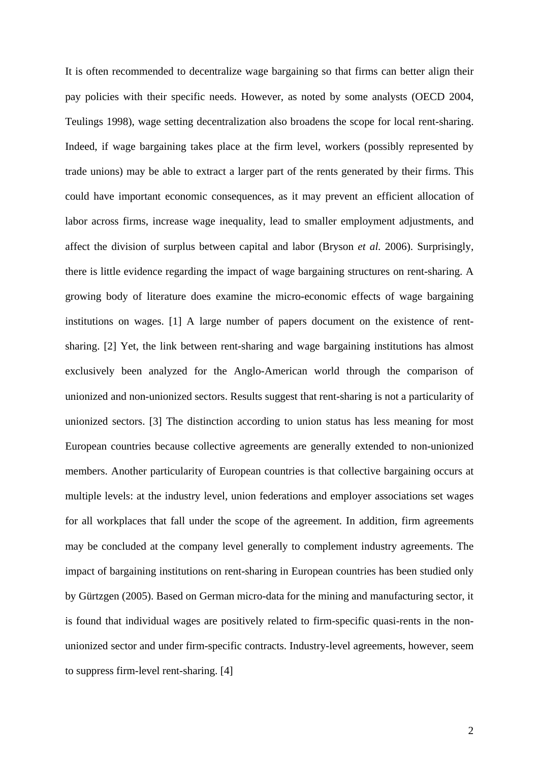It is often recommended to decentralize wage bargaining so that firms can better align their pay policies with their specific needs. However, as noted by some analysts (OECD 2004, Teulings 1998), wage setting decentralization also broadens the scope for local rent-sharing. Indeed, if wage bargaining takes place at the firm level, workers (possibly represented by trade unions) may be able to extract a larger part of the rents generated by their firms. This could have important economic consequences, as it may prevent an efficient allocation of labor across firms, increase wage inequality, lead to smaller employment adjustments, and affect the division of surplus between capital and labor (Bryson *et al.* 2006). Surprisingly, there is little evidence regarding the impact of wage bargaining structures on rent-sharing. A growing body of literature does examine the micro-economic effects of wage bargaining institutions on wages. [1] A large number of papers document on the existence of rentsharing. [2] Yet, the link between rent-sharing and wage bargaining institutions has almost exclusively been analyzed for the Anglo-American world through the comparison of unionized and non-unionized sectors. Results suggest that rent-sharing is not a particularity of unionized sectors. [3] The distinction according to union status has less meaning for most European countries because collective agreements are generally extended to non-unionized members. Another particularity of European countries is that collective bargaining occurs at multiple levels: at the industry level, union federations and employer associations set wages for all workplaces that fall under the scope of the agreement. In addition, firm agreements may be concluded at the company level generally to complement industry agreements. The impact of bargaining institutions on rent-sharing in European countries has been studied only by Gürtzgen (2005). Based on German micro-data for the mining and manufacturing sector, it is found that individual wages are positively related to firm-specific quasi-rents in the nonunionized sector and under firm-specific contracts. Industry-level agreements, however, seem to suppress firm-level rent-sharing. [4]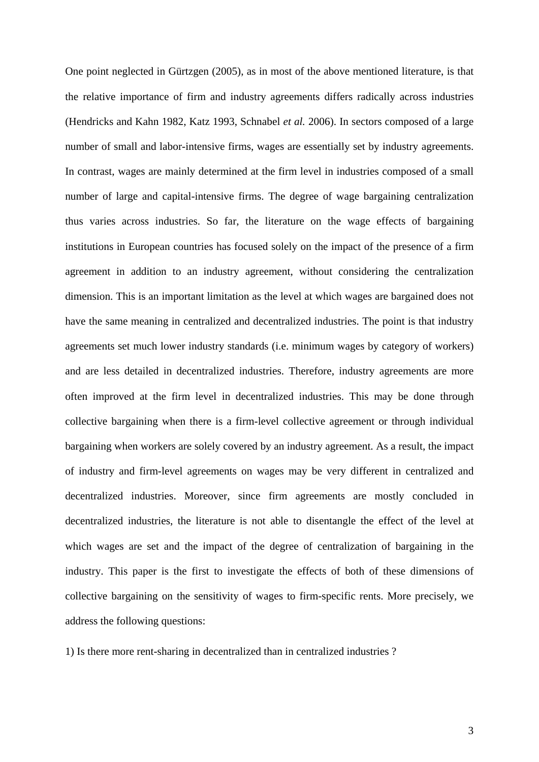One point neglected in Gürtzgen (2005), as in most of the above mentioned literature, is that the relative importance of firm and industry agreements differs radically across industries (Hendricks and Kahn 1982, Katz 1993, Schnabel *et al.* 2006). In sectors composed of a large number of small and labor-intensive firms, wages are essentially set by industry agreements. In contrast, wages are mainly determined at the firm level in industries composed of a small number of large and capital-intensive firms. The degree of wage bargaining centralization thus varies across industries. So far, the literature on the wage effects of bargaining institutions in European countries has focused solely on the impact of the presence of a firm agreement in addition to an industry agreement, without considering the centralization dimension. This is an important limitation as the level at which wages are bargained does not have the same meaning in centralized and decentralized industries. The point is that industry agreements set much lower industry standards (i.e. minimum wages by category of workers) and are less detailed in decentralized industries. Therefore, industry agreements are more often improved at the firm level in decentralized industries. This may be done through collective bargaining when there is a firm-level collective agreement or through individual bargaining when workers are solely covered by an industry agreement. As a result, the impact of industry and firm-level agreements on wages may be very different in centralized and decentralized industries. Moreover, since firm agreements are mostly concluded in decentralized industries, the literature is not able to disentangle the effect of the level at which wages are set and the impact of the degree of centralization of bargaining in the industry. This paper is the first to investigate the effects of both of these dimensions of collective bargaining on the sensitivity of wages to firm-specific rents. More precisely, we address the following questions:

1) Is there more rent-sharing in decentralized than in centralized industries ?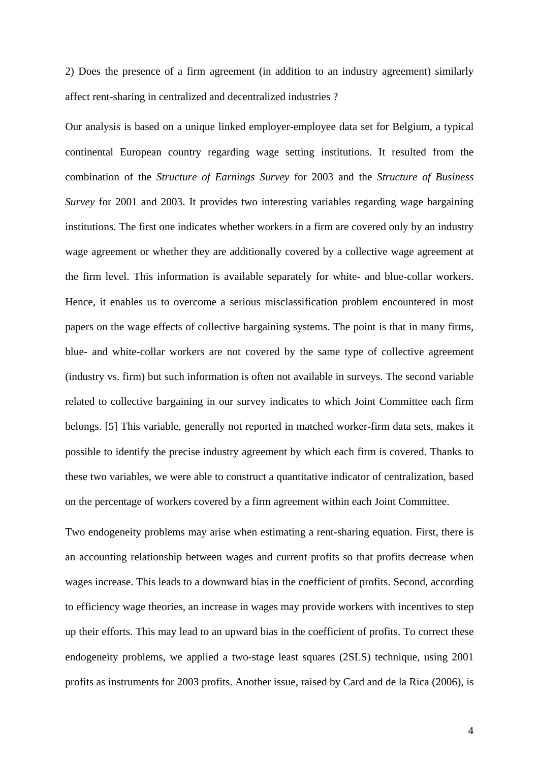2) Does the presence of a firm agreement (in addition to an industry agreement) similarly affect rent-sharing in centralized and decentralized industries ?

Our analysis is based on a unique linked employer-employee data set for Belgium, a typical continental European country regarding wage setting institutions. It resulted from the combination of the *Structure of Earnings Survey* for 2003 and the *Structure of Business Survey* for 2001 and 2003. It provides two interesting variables regarding wage bargaining institutions. The first one indicates whether workers in a firm are covered only by an industry wage agreement or whether they are additionally covered by a collective wage agreement at the firm level. This information is available separately for white- and blue-collar workers. Hence, it enables us to overcome a serious misclassification problem encountered in most papers on the wage effects of collective bargaining systems. The point is that in many firms, blue- and white-collar workers are not covered by the same type of collective agreement (industry vs. firm) but such information is often not available in surveys. The second variable related to collective bargaining in our survey indicates to which Joint Committee each firm belongs. [5] This variable, generally not reported in matched worker-firm data sets, makes it possible to identify the precise industry agreement by which each firm is covered. Thanks to these two variables, we were able to construct a quantitative indicator of centralization, based on the percentage of workers covered by a firm agreement within each Joint Committee.

Two endogeneity problems may arise when estimating a rent-sharing equation. First, there is an accounting relationship between wages and current profits so that profits decrease when wages increase. This leads to a downward bias in the coefficient of profits. Second, according to efficiency wage theories, an increase in wages may provide workers with incentives to step up their efforts. This may lead to an upward bias in the coefficient of profits. To correct these endogeneity problems, we applied a two-stage least squares (2SLS) technique, using 2001 profits as instruments for 2003 profits. Another issue, raised by Card and de la Rica (2006), is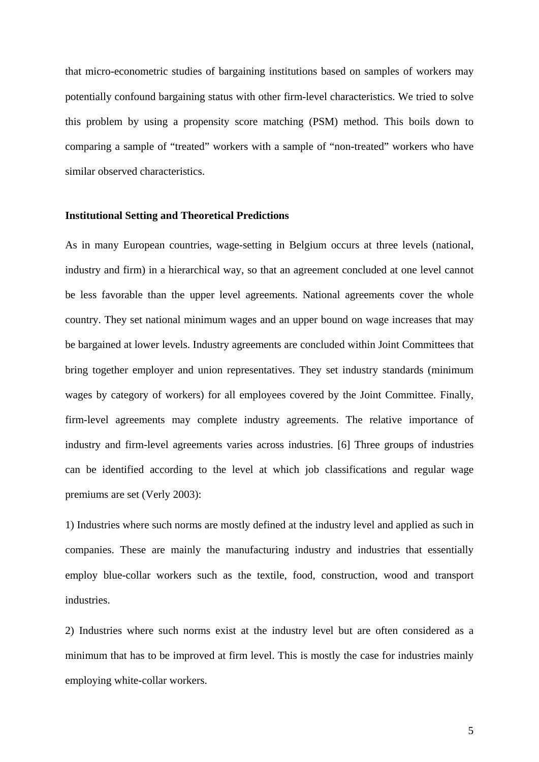that micro-econometric studies of bargaining institutions based on samples of workers may potentially confound bargaining status with other firm-level characteristics. We tried to solve this problem by using a propensity score matching (PSM) method. This boils down to comparing a sample of "treated" workers with a sample of "non-treated" workers who have similar observed characteristics.

#### **Institutional Setting and Theoretical Predictions**

As in many European countries, wage-setting in Belgium occurs at three levels (national, industry and firm) in a hierarchical way, so that an agreement concluded at one level cannot be less favorable than the upper level agreements. National agreements cover the whole country. They set national minimum wages and an upper bound on wage increases that may be bargained at lower levels. Industry agreements are concluded within Joint Committees that bring together employer and union representatives. They set industry standards (minimum wages by category of workers) for all employees covered by the Joint Committee. Finally, firm-level agreements may complete industry agreements. The relative importance of industry and firm-level agreements varies across industries. [6] Three groups of industries can be identified according to the level at which job classifications and regular wage premiums are set (Verly 2003):

1) Industries where such norms are mostly defined at the industry level and applied as such in companies. These are mainly the manufacturing industry and industries that essentially employ blue-collar workers such as the textile, food, construction, wood and transport industries.

2) Industries where such norms exist at the industry level but are often considered as a minimum that has to be improved at firm level. This is mostly the case for industries mainly employing white-collar workers.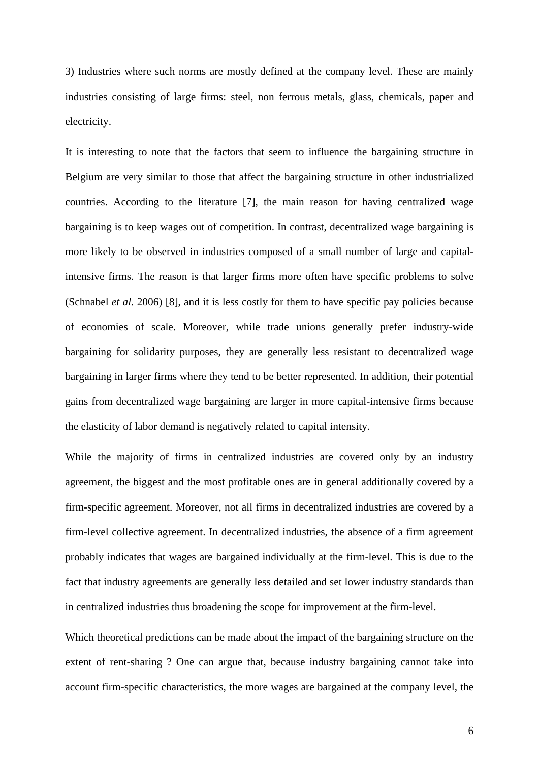3) Industries where such norms are mostly defined at the company level. These are mainly industries consisting of large firms: steel, non ferrous metals, glass, chemicals, paper and electricity.

It is interesting to note that the factors that seem to influence the bargaining structure in Belgium are very similar to those that affect the bargaining structure in other industrialized countries. According to the literature [7], the main reason for having centralized wage bargaining is to keep wages out of competition. In contrast, decentralized wage bargaining is more likely to be observed in industries composed of a small number of large and capitalintensive firms. The reason is that larger firms more often have specific problems to solve (Schnabel *et al.* 2006) [8], and it is less costly for them to have specific pay policies because of economies of scale. Moreover, while trade unions generally prefer industry-wide bargaining for solidarity purposes, they are generally less resistant to decentralized wage bargaining in larger firms where they tend to be better represented. In addition, their potential gains from decentralized wage bargaining are larger in more capital-intensive firms because the elasticity of labor demand is negatively related to capital intensity.

While the majority of firms in centralized industries are covered only by an industry agreement, the biggest and the most profitable ones are in general additionally covered by a firm-specific agreement. Moreover, not all firms in decentralized industries are covered by a firm-level collective agreement. In decentralized industries, the absence of a firm agreement probably indicates that wages are bargained individually at the firm-level. This is due to the fact that industry agreements are generally less detailed and set lower industry standards than in centralized industries thus broadening the scope for improvement at the firm-level.

Which theoretical predictions can be made about the impact of the bargaining structure on the extent of rent-sharing ? One can argue that, because industry bargaining cannot take into account firm-specific characteristics, the more wages are bargained at the company level, the

6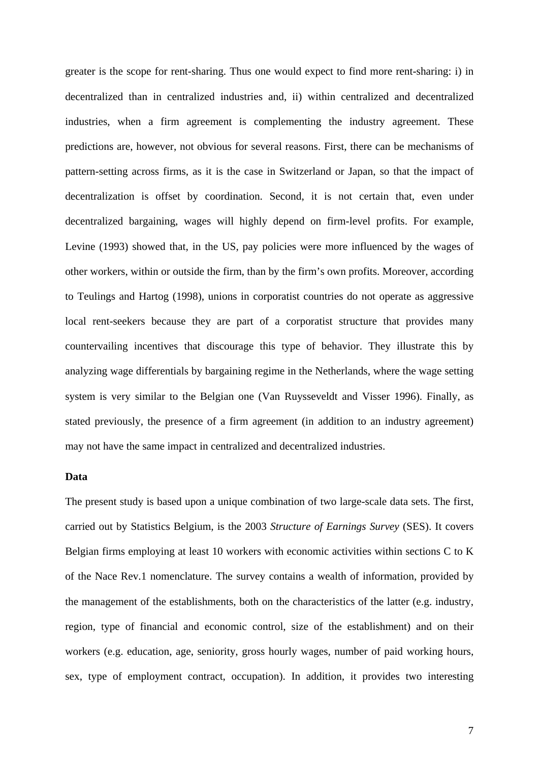greater is the scope for rent-sharing. Thus one would expect to find more rent-sharing: i) in decentralized than in centralized industries and, ii) within centralized and decentralized industries, when a firm agreement is complementing the industry agreement. These predictions are, however, not obvious for several reasons. First, there can be mechanisms of pattern-setting across firms, as it is the case in Switzerland or Japan, so that the impact of decentralization is offset by coordination. Second, it is not certain that, even under decentralized bargaining, wages will highly depend on firm-level profits. For example, Levine (1993) showed that, in the US, pay policies were more influenced by the wages of other workers, within or outside the firm, than by the firm's own profits. Moreover, according to Teulings and Hartog (1998), unions in corporatist countries do not operate as aggressive local rent-seekers because they are part of a corporatist structure that provides many countervailing incentives that discourage this type of behavior. They illustrate this by analyzing wage differentials by bargaining regime in the Netherlands, where the wage setting system is very similar to the Belgian one (Van Ruysseveldt and Visser 1996). Finally, as stated previously, the presence of a firm agreement (in addition to an industry agreement) may not have the same impact in centralized and decentralized industries.

#### **Data**

The present study is based upon a unique combination of two large-scale data sets. The first, carried out by Statistics Belgium, is the 2003 *Structure of Earnings Survey* (SES). It covers Belgian firms employing at least 10 workers with economic activities within sections C to K of the Nace Rev.1 nomenclature. The survey contains a wealth of information, provided by the management of the establishments, both on the characteristics of the latter (e.g. industry, region, type of financial and economic control, size of the establishment) and on their workers (e.g. education, age, seniority, gross hourly wages, number of paid working hours, sex, type of employment contract, occupation). In addition, it provides two interesting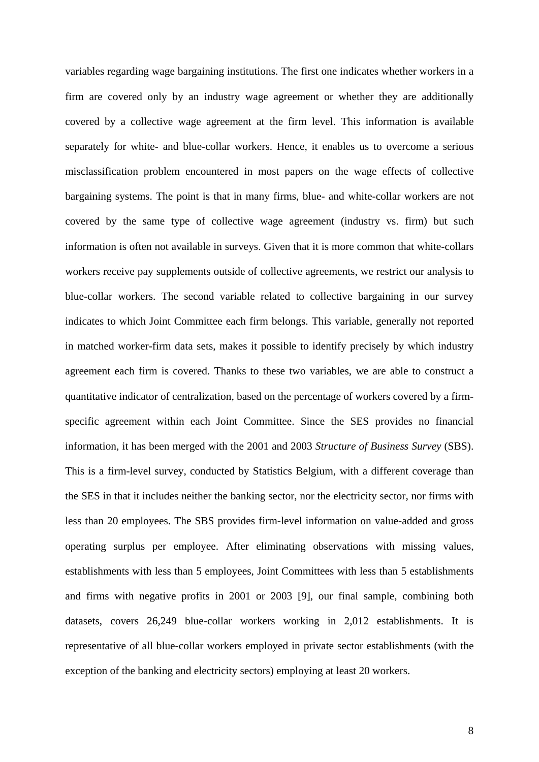variables regarding wage bargaining institutions. The first one indicates whether workers in a firm are covered only by an industry wage agreement or whether they are additionally covered by a collective wage agreement at the firm level. This information is available separately for white- and blue-collar workers. Hence, it enables us to overcome a serious misclassification problem encountered in most papers on the wage effects of collective bargaining systems. The point is that in many firms, blue- and white-collar workers are not covered by the same type of collective wage agreement (industry vs. firm) but such information is often not available in surveys. Given that it is more common that white-collars workers receive pay supplements outside of collective agreements, we restrict our analysis to blue-collar workers. The second variable related to collective bargaining in our survey indicates to which Joint Committee each firm belongs. This variable, generally not reported in matched worker-firm data sets, makes it possible to identify precisely by which industry agreement each firm is covered. Thanks to these two variables, we are able to construct a quantitative indicator of centralization, based on the percentage of workers covered by a firmspecific agreement within each Joint Committee. Since the SES provides no financial information, it has been merged with the 2001 and 2003 *Structure of Business Survey* (SBS). This is a firm-level survey, conducted by Statistics Belgium, with a different coverage than the SES in that it includes neither the banking sector, nor the electricity sector, nor firms with less than 20 employees. The SBS provides firm-level information on value-added and gross operating surplus per employee. After eliminating observations with missing values, establishments with less than 5 employees, Joint Committees with less than 5 establishments and firms with negative profits in 2001 or 2003 [9], our final sample, combining both datasets, covers 26,249 blue-collar workers working in 2,012 establishments. It is representative of all blue-collar workers employed in private sector establishments (with the exception of the banking and electricity sectors) employing at least 20 workers.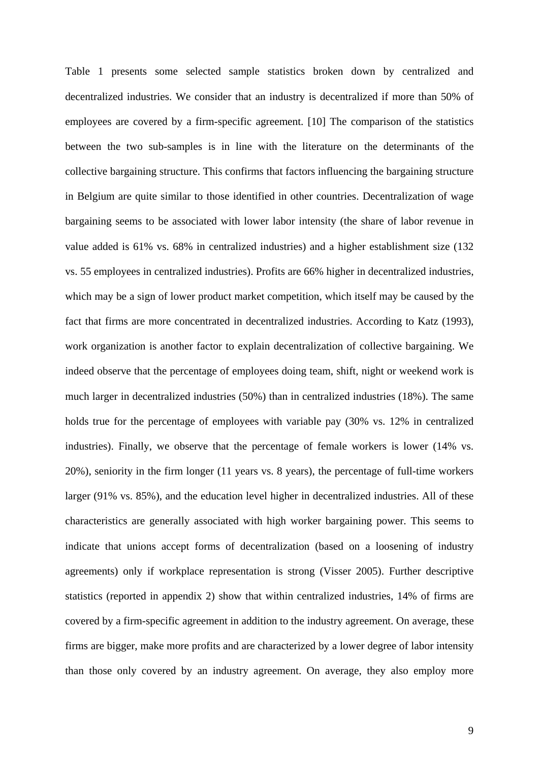Table 1 presents some selected sample statistics broken down by centralized and decentralized industries. We consider that an industry is decentralized if more than 50% of employees are covered by a firm-specific agreement. [10] The comparison of the statistics between the two sub-samples is in line with the literature on the determinants of the collective bargaining structure. This confirms that factors influencing the bargaining structure in Belgium are quite similar to those identified in other countries. Decentralization of wage bargaining seems to be associated with lower labor intensity (the share of labor revenue in value added is 61% vs. 68% in centralized industries) and a higher establishment size (132 vs. 55 employees in centralized industries). Profits are 66% higher in decentralized industries, which may be a sign of lower product market competition, which itself may be caused by the fact that firms are more concentrated in decentralized industries. According to Katz (1993), work organization is another factor to explain decentralization of collective bargaining. We indeed observe that the percentage of employees doing team, shift, night or weekend work is much larger in decentralized industries (50%) than in centralized industries (18%). The same holds true for the percentage of employees with variable pay (30% vs. 12% in centralized industries). Finally, we observe that the percentage of female workers is lower (14% vs. 20%), seniority in the firm longer (11 years vs. 8 years), the percentage of full-time workers larger (91% vs. 85%), and the education level higher in decentralized industries. All of these characteristics are generally associated with high worker bargaining power. This seems to indicate that unions accept forms of decentralization (based on a loosening of industry agreements) only if workplace representation is strong (Visser 2005). Further descriptive statistics (reported in appendix 2) show that within centralized industries, 14% of firms are covered by a firm-specific agreement in addition to the industry agreement. On average, these firms are bigger, make more profits and are characterized by a lower degree of labor intensity than those only covered by an industry agreement. On average, they also employ more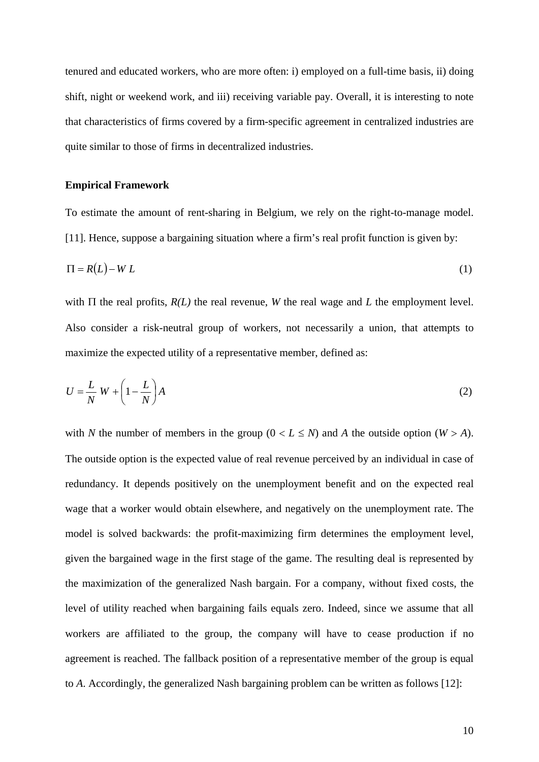tenured and educated workers, who are more often: i) employed on a full-time basis, ii) doing shift, night or weekend work, and iii) receiving variable pay. Overall, it is interesting to note that characteristics of firms covered by a firm-specific agreement in centralized industries are quite similar to those of firms in decentralized industries.

#### **Empirical Framework**

To estimate the amount of rent-sharing in Belgium, we rely on the right-to-manage model. [11]. Hence, suppose a bargaining situation where a firm's real profit function is given by:

$$
\Pi = R(L) - WL \tag{1}
$$

with Π the real profits, *R(L)* the real revenue, *W* the real wage and *L* the employment level. Also consider a risk-neutral group of workers, not necessarily a union, that attempts to maximize the expected utility of a representative member, defined as:

$$
U = \frac{L}{N} W + \left(1 - \frac{L}{N}\right) A
$$
 (2)

with *N* the number of members in the group  $(0 < L \le N)$  and *A* the outside option  $(W > A)$ . The outside option is the expected value of real revenue perceived by an individual in case of redundancy. It depends positively on the unemployment benefit and on the expected real wage that a worker would obtain elsewhere, and negatively on the unemployment rate. The model is solved backwards: the profit-maximizing firm determines the employment level, given the bargained wage in the first stage of the game. The resulting deal is represented by the maximization of the generalized Nash bargain. For a company, without fixed costs, the level of utility reached when bargaining fails equals zero. Indeed, since we assume that all workers are affiliated to the group, the company will have to cease production if no agreement is reached. The fallback position of a representative member of the group is equal to *A*. Accordingly, the generalized Nash bargaining problem can be written as follows [12]: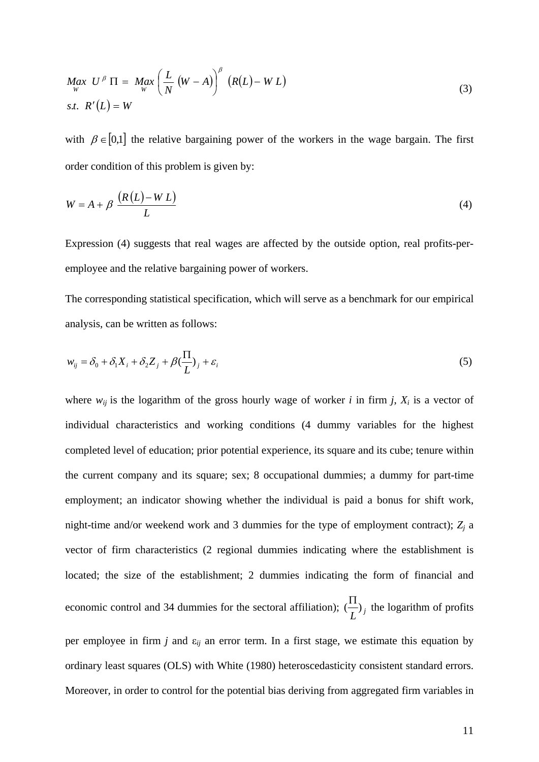$$
\begin{aligned}\n\mathcal{M}_{\substack{W\\W}} \mathcal{U}^{\beta} \Pi &= \mathcal{M}_{\substack{W\\W}} \left( \frac{L}{N} \left( W - A \right) \right)^{\beta} \left( R(L) - W L \right) \\
\text{s.t.} \ \mathcal{R}'(L) &= W\n\end{aligned} \tag{3}
$$

with  $\beta \in [0,1]$  the relative bargaining power of the workers in the wage bargain. The first order condition of this problem is given by:

$$
W = A + \beta \frac{(R(L) - WL)}{L}
$$
 (4)

Expression (4) suggests that real wages are affected by the outside option, real profits-peremployee and the relative bargaining power of workers.

The corresponding statistical specification, which will serve as a benchmark for our empirical analysis, can be written as follows:

$$
w_{ij} = \delta_0 + \delta_1 X_i + \delta_2 Z_j + \beta (\frac{\Pi}{L})_j + \varepsilon_i
$$
\n<sup>(5)</sup>

where  $w_{ij}$  is the logarithm of the gross hourly wage of worker *i* in firm *j*,  $X_i$  is a vector of individual characteristics and working conditions (4 dummy variables for the highest completed level of education; prior potential experience, its square and its cube; tenure within the current company and its square; sex; 8 occupational dummies; a dummy for part-time employment; an indicator showing whether the individual is paid a bonus for shift work, night-time and/or weekend work and 3 dummies for the type of employment contract);  $Z_j$  a vector of firm characteristics (2 regional dummies indicating where the establishment is located; the size of the establishment; 2 dummies indicating the form of financial and economic control and 34 dummies for the sectoral affiliation);  $\left(\frac{\Pi}{L}\right)_j$  the logarithm of profits per employee in firm *j* and ε*ij* an error term. In a first stage, we estimate this equation by ordinary least squares (OLS) with White (1980) heteroscedasticity consistent standard errors. Moreover, in order to control for the potential bias deriving from aggregated firm variables in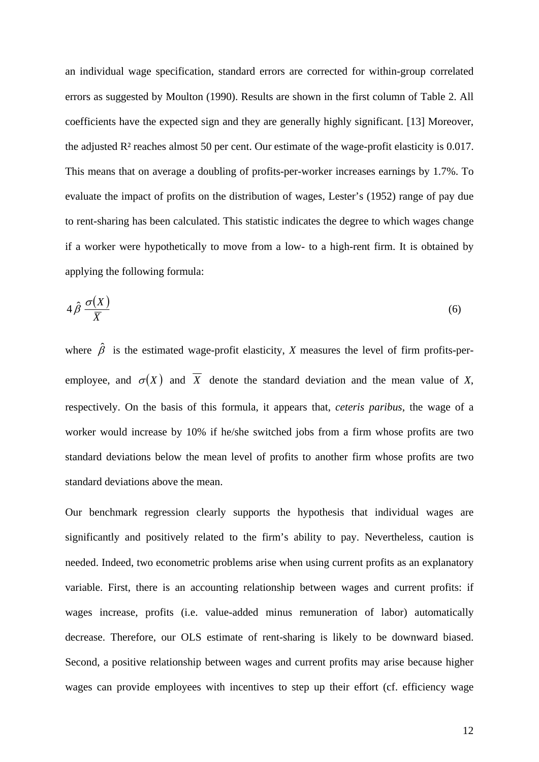an individual wage specification, standard errors are corrected for within-group correlated errors as suggested by Moulton (1990). Results are shown in the first column of Table 2. All coefficients have the expected sign and they are generally highly significant. [13] Moreover, the adjusted R² reaches almost 50 per cent. Our estimate of the wage-profit elasticity is 0.017. This means that on average a doubling of profits-per-worker increases earnings by 1.7%. To evaluate the impact of profits on the distribution of wages, Lester's (1952) range of pay due to rent-sharing has been calculated. This statistic indicates the degree to which wages change if a worker were hypothetically to move from a low- to a high-rent firm. It is obtained by applying the following formula:

$$
4\,\hat{\beta}\,\frac{\sigma(X)}{\overline{X}}\tag{6}
$$

where  $\hat{\beta}$  is the estimated wage-profit elasticity, *X* measures the level of firm profits-peremployee, and  $\sigma(X)$  and  $\overline{X}$  denote the standard deviation and the mean value of *X*, respectively. On the basis of this formula, it appears that, *ceteris paribus*, the wage of a worker would increase by 10% if he/she switched jobs from a firm whose profits are two standard deviations below the mean level of profits to another firm whose profits are two standard deviations above the mean.

Our benchmark regression clearly supports the hypothesis that individual wages are significantly and positively related to the firm's ability to pay. Nevertheless, caution is needed. Indeed, two econometric problems arise when using current profits as an explanatory variable. First, there is an accounting relationship between wages and current profits: if wages increase, profits (i.e. value-added minus remuneration of labor) automatically decrease. Therefore, our OLS estimate of rent-sharing is likely to be downward biased. Second, a positive relationship between wages and current profits may arise because higher wages can provide employees with incentives to step up their effort (cf. efficiency wage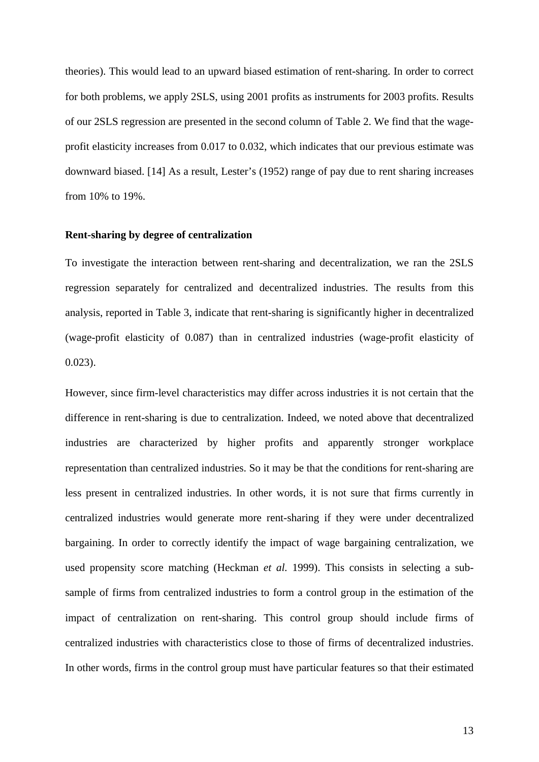theories). This would lead to an upward biased estimation of rent-sharing. In order to correct for both problems, we apply 2SLS, using 2001 profits as instruments for 2003 profits. Results of our 2SLS regression are presented in the second column of Table 2. We find that the wageprofit elasticity increases from 0.017 to 0.032, which indicates that our previous estimate was downward biased. [14] As a result, Lester's (1952) range of pay due to rent sharing increases from 10% to 19%.

#### **Rent-sharing by degree of centralization**

To investigate the interaction between rent-sharing and decentralization, we ran the 2SLS regression separately for centralized and decentralized industries. The results from this analysis, reported in Table 3, indicate that rent-sharing is significantly higher in decentralized (wage-profit elasticity of 0.087) than in centralized industries (wage-profit elasticity of 0.023).

However, since firm-level characteristics may differ across industries it is not certain that the difference in rent-sharing is due to centralization. Indeed, we noted above that decentralized industries are characterized by higher profits and apparently stronger workplace representation than centralized industries. So it may be that the conditions for rent-sharing are less present in centralized industries. In other words, it is not sure that firms currently in centralized industries would generate more rent-sharing if they were under decentralized bargaining. In order to correctly identify the impact of wage bargaining centralization, we used propensity score matching (Heckman *et al.* 1999). This consists in selecting a subsample of firms from centralized industries to form a control group in the estimation of the impact of centralization on rent-sharing. This control group should include firms of centralized industries with characteristics close to those of firms of decentralized industries. In other words, firms in the control group must have particular features so that their estimated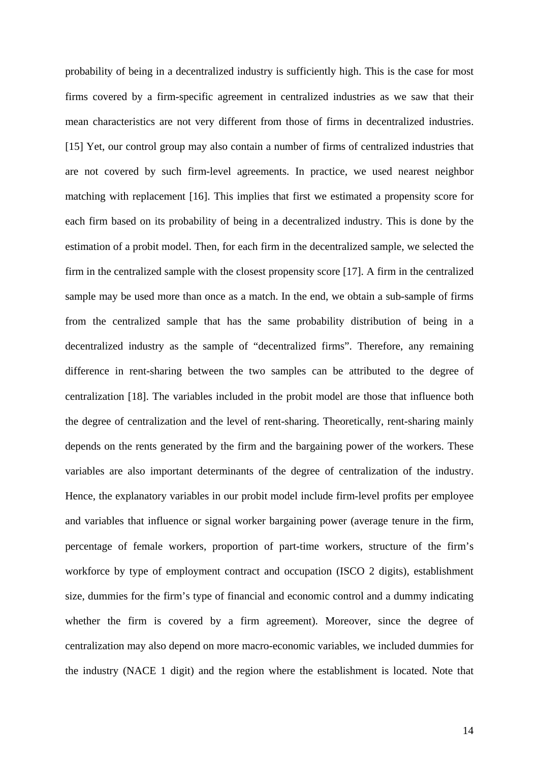probability of being in a decentralized industry is sufficiently high. This is the case for most firms covered by a firm-specific agreement in centralized industries as we saw that their mean characteristics are not very different from those of firms in decentralized industries. [15] Yet, our control group may also contain a number of firms of centralized industries that are not covered by such firm-level agreements. In practice, we used nearest neighbor matching with replacement [16]. This implies that first we estimated a propensity score for each firm based on its probability of being in a decentralized industry. This is done by the estimation of a probit model. Then, for each firm in the decentralized sample, we selected the firm in the centralized sample with the closest propensity score [17]. A firm in the centralized sample may be used more than once as a match. In the end, we obtain a sub-sample of firms from the centralized sample that has the same probability distribution of being in a decentralized industry as the sample of "decentralized firms". Therefore, any remaining difference in rent-sharing between the two samples can be attributed to the degree of centralization [18]. The variables included in the probit model are those that influence both the degree of centralization and the level of rent-sharing. Theoretically, rent-sharing mainly depends on the rents generated by the firm and the bargaining power of the workers. These variables are also important determinants of the degree of centralization of the industry. Hence, the explanatory variables in our probit model include firm-level profits per employee and variables that influence or signal worker bargaining power (average tenure in the firm, percentage of female workers, proportion of part-time workers, structure of the firm's workforce by type of employment contract and occupation (ISCO 2 digits), establishment size, dummies for the firm's type of financial and economic control and a dummy indicating whether the firm is covered by a firm agreement). Moreover, since the degree of centralization may also depend on more macro-economic variables, we included dummies for the industry (NACE 1 digit) and the region where the establishment is located. Note that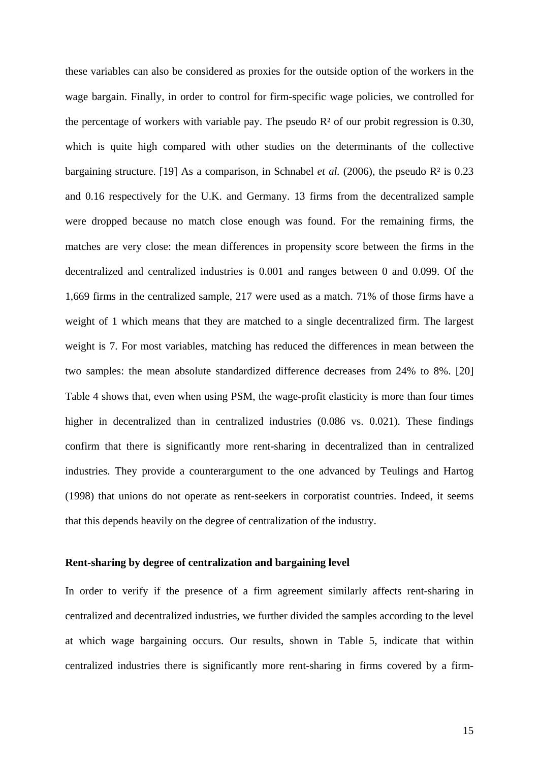these variables can also be considered as proxies for the outside option of the workers in the wage bargain. Finally, in order to control for firm-specific wage policies, we controlled for the percentage of workers with variable pay. The pseudo  $\mathbb{R}^2$  of our probit regression is 0.30, which is quite high compared with other studies on the determinants of the collective bargaining structure. [19] As a comparison, in Schnabel *et al.* (2006), the pseudo R² is 0.23 and 0.16 respectively for the U.K. and Germany. 13 firms from the decentralized sample were dropped because no match close enough was found. For the remaining firms, the matches are very close: the mean differences in propensity score between the firms in the decentralized and centralized industries is 0.001 and ranges between 0 and 0.099. Of the 1,669 firms in the centralized sample, 217 were used as a match. 71% of those firms have a weight of 1 which means that they are matched to a single decentralized firm. The largest weight is 7. For most variables, matching has reduced the differences in mean between the two samples: the mean absolute standardized difference decreases from 24% to 8%. [20] Table 4 shows that, even when using PSM, the wage-profit elasticity is more than four times higher in decentralized than in centralized industries (0.086 vs. 0.021). These findings confirm that there is significantly more rent-sharing in decentralized than in centralized industries. They provide a counterargument to the one advanced by Teulings and Hartog (1998) that unions do not operate as rent-seekers in corporatist countries. Indeed, it seems that this depends heavily on the degree of centralization of the industry.

#### **Rent-sharing by degree of centralization and bargaining level**

In order to verify if the presence of a firm agreement similarly affects rent-sharing in centralized and decentralized industries, we further divided the samples according to the level at which wage bargaining occurs. Our results, shown in Table 5, indicate that within centralized industries there is significantly more rent-sharing in firms covered by a firm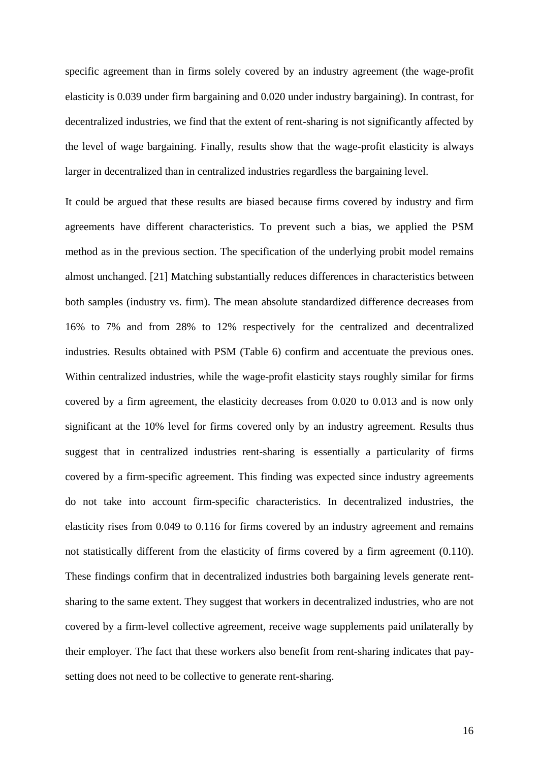specific agreement than in firms solely covered by an industry agreement (the wage-profit elasticity is 0.039 under firm bargaining and 0.020 under industry bargaining). In contrast, for decentralized industries, we find that the extent of rent-sharing is not significantly affected by the level of wage bargaining. Finally, results show that the wage-profit elasticity is always larger in decentralized than in centralized industries regardless the bargaining level.

It could be argued that these results are biased because firms covered by industry and firm agreements have different characteristics. To prevent such a bias, we applied the PSM method as in the previous section. The specification of the underlying probit model remains almost unchanged. [21] Matching substantially reduces differences in characteristics between both samples (industry vs. firm). The mean absolute standardized difference decreases from 16% to 7% and from 28% to 12% respectively for the centralized and decentralized industries. Results obtained with PSM (Table 6) confirm and accentuate the previous ones. Within centralized industries, while the wage-profit elasticity stays roughly similar for firms covered by a firm agreement, the elasticity decreases from 0.020 to 0.013 and is now only significant at the 10% level for firms covered only by an industry agreement. Results thus suggest that in centralized industries rent-sharing is essentially a particularity of firms covered by a firm-specific agreement. This finding was expected since industry agreements do not take into account firm-specific characteristics. In decentralized industries, the elasticity rises from 0.049 to 0.116 for firms covered by an industry agreement and remains not statistically different from the elasticity of firms covered by a firm agreement (0.110). These findings confirm that in decentralized industries both bargaining levels generate rentsharing to the same extent. They suggest that workers in decentralized industries, who are not covered by a firm-level collective agreement, receive wage supplements paid unilaterally by their employer. The fact that these workers also benefit from rent-sharing indicates that paysetting does not need to be collective to generate rent-sharing.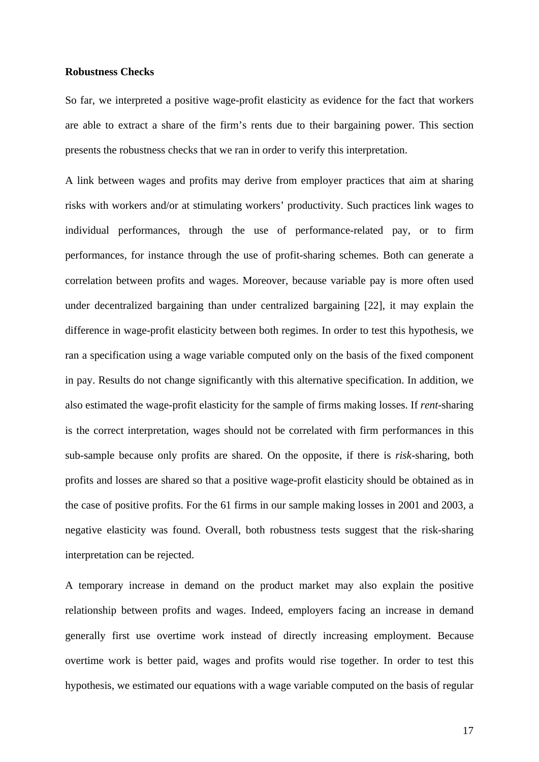#### **Robustness Checks**

So far, we interpreted a positive wage-profit elasticity as evidence for the fact that workers are able to extract a share of the firm's rents due to their bargaining power. This section presents the robustness checks that we ran in order to verify this interpretation.

A link between wages and profits may derive from employer practices that aim at sharing risks with workers and/or at stimulating workers' productivity. Such practices link wages to individual performances, through the use of performance-related pay, or to firm performances, for instance through the use of profit-sharing schemes. Both can generate a correlation between profits and wages. Moreover, because variable pay is more often used under decentralized bargaining than under centralized bargaining [22], it may explain the difference in wage-profit elasticity between both regimes. In order to test this hypothesis, we ran a specification using a wage variable computed only on the basis of the fixed component in pay. Results do not change significantly with this alternative specification. In addition, we also estimated the wage-profit elasticity for the sample of firms making losses. If *rent*-sharing is the correct interpretation, wages should not be correlated with firm performances in this sub-sample because only profits are shared. On the opposite, if there is *risk*-sharing, both profits and losses are shared so that a positive wage-profit elasticity should be obtained as in the case of positive profits. For the 61 firms in our sample making losses in 2001 and 2003, a negative elasticity was found. Overall, both robustness tests suggest that the risk-sharing interpretation can be rejected.

A temporary increase in demand on the product market may also explain the positive relationship between profits and wages. Indeed, employers facing an increase in demand generally first use overtime work instead of directly increasing employment. Because overtime work is better paid, wages and profits would rise together. In order to test this hypothesis, we estimated our equations with a wage variable computed on the basis of regular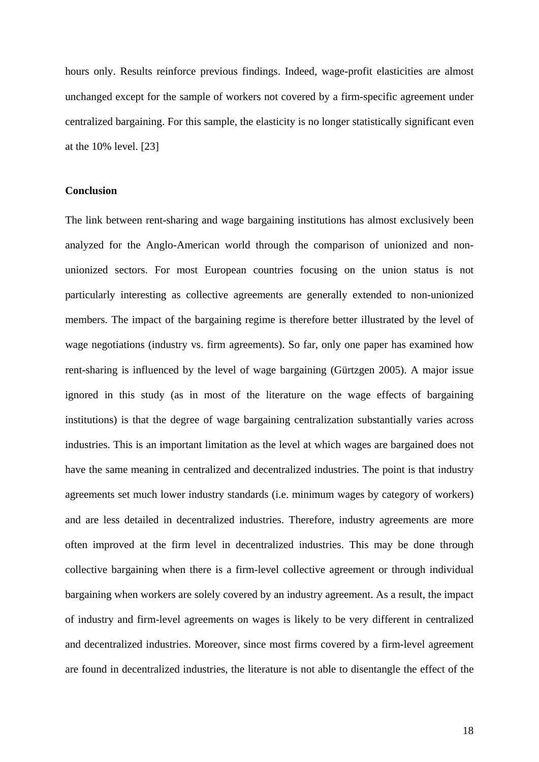hours only. Results reinforce previous findings. Indeed, wage-profit elasticities are almost unchanged except for the sample of workers not covered by a firm-specific agreement under centralized bargaining. For this sample, the elasticity is no longer statistically significant even at the 10% level. [23]

#### **Conclusion**

The link between rent-sharing and wage bargaining institutions has almost exclusively been analyzed for the Anglo-American world through the comparison of unionized and nonunionized sectors. For most European countries focusing on the union status is not particularly interesting as collective agreements are generally extended to non-unionized members. The impact of the bargaining regime is therefore better illustrated by the level of wage negotiations (industry vs. firm agreements). So far, only one paper has examined how rent-sharing is influenced by the level of wage bargaining (Gürtzgen 2005). A major issue ignored in this study (as in most of the literature on the wage effects of bargaining institutions) is that the degree of wage bargaining centralization substantially varies across industries. This is an important limitation as the level at which wages are bargained does not have the same meaning in centralized and decentralized industries. The point is that industry agreements set much lower industry standards (i.e. minimum wages by category of workers) and are less detailed in decentralized industries. Therefore, industry agreements are more often improved at the firm level in decentralized industries. This may be done through collective bargaining when there is a firm-level collective agreement or through individual bargaining when workers are solely covered by an industry agreement. As a result, the impact of industry and firm-level agreements on wages is likely to be very different in centralized and decentralized industries. Moreover, since most firms covered by a firm-level agreement are found in decentralized industries, the literature is not able to disentangle the effect of the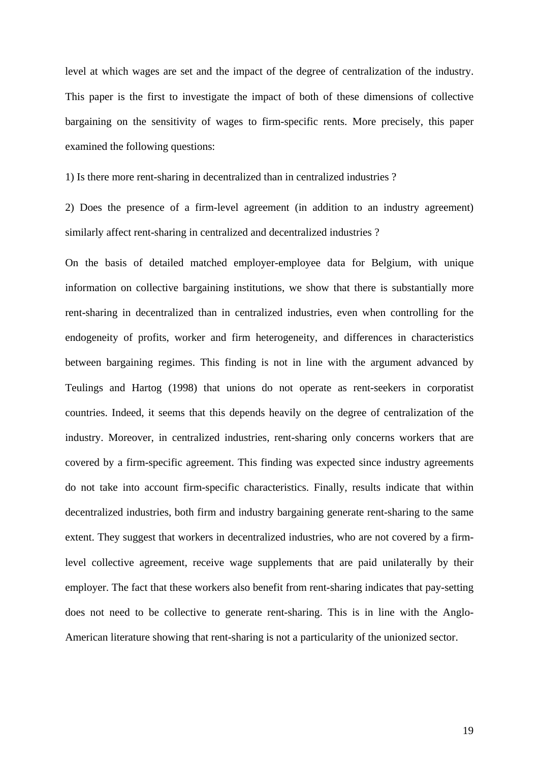level at which wages are set and the impact of the degree of centralization of the industry. This paper is the first to investigate the impact of both of these dimensions of collective bargaining on the sensitivity of wages to firm-specific rents. More precisely, this paper examined the following questions:

1) Is there more rent-sharing in decentralized than in centralized industries ?

2) Does the presence of a firm-level agreement (in addition to an industry agreement) similarly affect rent-sharing in centralized and decentralized industries ?

On the basis of detailed matched employer-employee data for Belgium, with unique information on collective bargaining institutions, we show that there is substantially more rent-sharing in decentralized than in centralized industries, even when controlling for the endogeneity of profits, worker and firm heterogeneity, and differences in characteristics between bargaining regimes. This finding is not in line with the argument advanced by Teulings and Hartog (1998) that unions do not operate as rent-seekers in corporatist countries. Indeed, it seems that this depends heavily on the degree of centralization of the industry. Moreover, in centralized industries, rent-sharing only concerns workers that are covered by a firm-specific agreement. This finding was expected since industry agreements do not take into account firm-specific characteristics. Finally, results indicate that within decentralized industries, both firm and industry bargaining generate rent-sharing to the same extent. They suggest that workers in decentralized industries, who are not covered by a firmlevel collective agreement, receive wage supplements that are paid unilaterally by their employer. The fact that these workers also benefit from rent-sharing indicates that pay-setting does not need to be collective to generate rent-sharing. This is in line with the Anglo-American literature showing that rent-sharing is not a particularity of the unionized sector.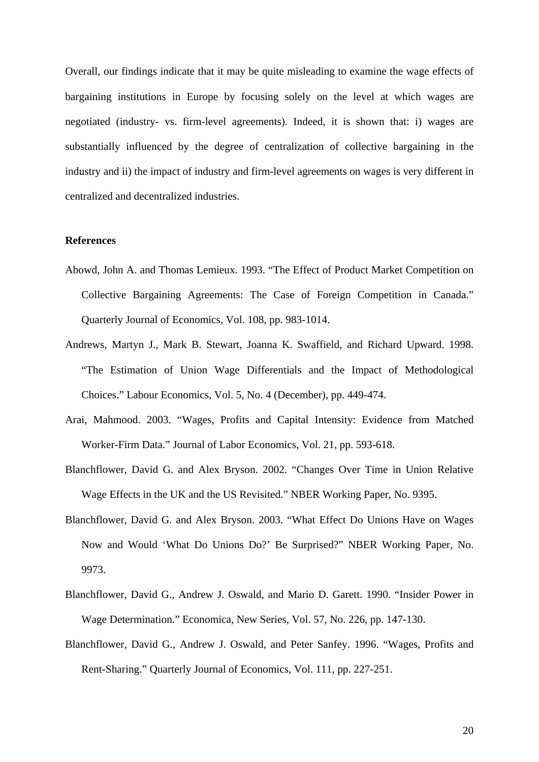Overall, our findings indicate that it may be quite misleading to examine the wage effects of bargaining institutions in Europe by focusing solely on the level at which wages are negotiated (industry- vs. firm-level agreements). Indeed, it is shown that: i) wages are substantially influenced by the degree of centralization of collective bargaining in the industry and ii) the impact of industry and firm-level agreements on wages is very different in centralized and decentralized industries.

#### **References**

- Abowd, John A. and Thomas Lemieux. 1993. "The Effect of Product Market Competition on Collective Bargaining Agreements: The Case of Foreign Competition in Canada." Quarterly Journal of Economics, Vol. 108, pp. 983-1014.
- Andrews, Martyn J., Mark B. Stewart, Joanna K. Swaffield, and Richard Upward. 1998. "The Estimation of Union Wage Differentials and the Impact of Methodological Choices." Labour Economics, Vol. 5, No. 4 (December), pp. 449-474.
- Arai, Mahmood. 2003. "Wages, Profits and Capital Intensity: Evidence from Matched Worker-Firm Data." Journal of Labor Economics, Vol. 21, pp. 593-618.
- Blanchflower, David G. and Alex Bryson. 2002. "Changes Over Time in Union Relative Wage Effects in the UK and the US Revisited." NBER Working Paper, No. 9395.
- Blanchflower, David G. and Alex Bryson. 2003. "What Effect Do Unions Have on Wages Now and Would 'What Do Unions Do?' Be Surprised?" NBER Working Paper, No. 9973.
- Blanchflower, David G., Andrew J. Oswald, and Mario D. Garett. 1990. "Insider Power in Wage Determination." Economica, New Series, Vol. 57, No. 226, pp. 147-130.
- Blanchflower, David G., Andrew J. Oswald, and Peter Sanfey. 1996. "Wages, Profits and Rent-Sharing." Quarterly Journal of Economics, Vol. 111, pp. 227-251.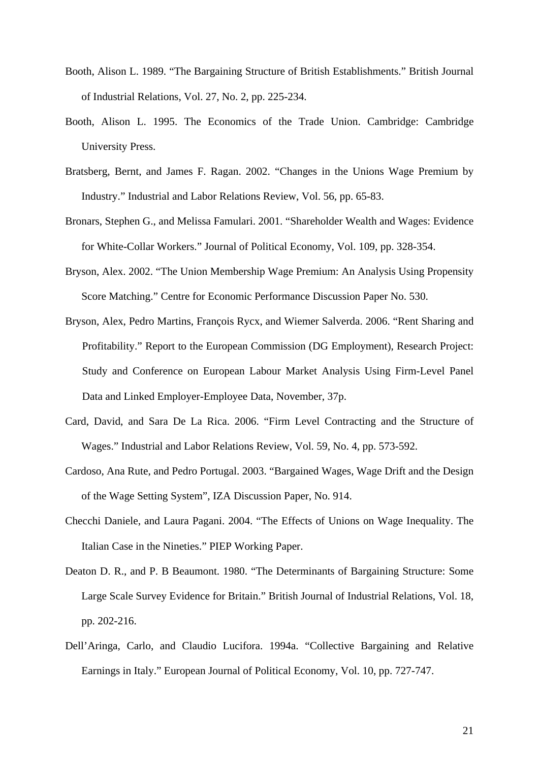- Booth, Alison L. 1989. "The Bargaining Structure of British Establishments." British Journal of Industrial Relations, Vol. 27, No. 2, pp. 225-234.
- Booth, Alison L. 1995. The Economics of the Trade Union. Cambridge: Cambridge University Press.
- Bratsberg, Bernt, and James F. Ragan. 2002. "Changes in the Unions Wage Premium by Industry." Industrial and Labor Relations Review, Vol. 56, pp. 65-83.
- Bronars, Stephen G., and Melissa Famulari. 2001. "Shareholder Wealth and Wages: Evidence for White-Collar Workers." Journal of Political Economy, Vol. 109, pp. 328-354.
- Bryson, Alex. 2002. "The Union Membership Wage Premium: An Analysis Using Propensity Score Matching." Centre for Economic Performance Discussion Paper No. 530.
- Bryson, Alex, Pedro Martins, François Rycx, and Wiemer Salverda. 2006. "Rent Sharing and Profitability." Report to the European Commission (DG Employment), Research Project: Study and Conference on European Labour Market Analysis Using Firm-Level Panel Data and Linked Employer-Employee Data, November, 37p.
- Card, David, and Sara De La Rica. 2006. "Firm Level Contracting and the Structure of Wages." Industrial and Labor Relations Review, Vol. 59, No. 4, pp. 573-592.
- Cardoso, Ana Rute, and Pedro Portugal. 2003. "Bargained Wages, Wage Drift and the Design of the Wage Setting System", IZA Discussion Paper, No. 914.
- Checchi Daniele, and Laura Pagani. 2004. "The Effects of Unions on Wage Inequality. The Italian Case in the Nineties." PIEP Working Paper.
- Deaton D. R., and P. B Beaumont. 1980. "The Determinants of Bargaining Structure: Some Large Scale Survey Evidence for Britain." British Journal of Industrial Relations, Vol. 18, pp. 202-216.
- Dell'Aringa, Carlo, and Claudio Lucifora. 1994a. "Collective Bargaining and Relative Earnings in Italy." European Journal of Political Economy, Vol. 10, pp. 727-747.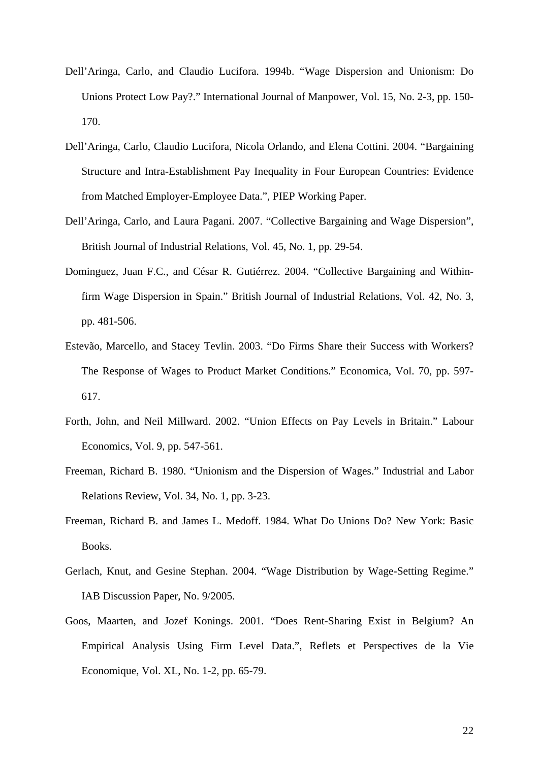- Dell'Aringa, Carlo, and Claudio Lucifora. 1994b. "Wage Dispersion and Unionism: Do Unions Protect Low Pay?." International Journal of Manpower, Vol. 15, No. 2-3, pp. 150- 170.
- Dell'Aringa, Carlo, Claudio Lucifora, Nicola Orlando, and Elena Cottini. 2004. "Bargaining Structure and Intra-Establishment Pay Inequality in Four European Countries: Evidence from Matched Employer-Employee Data.", PIEP Working Paper.
- Dell'Aringa, Carlo, and Laura Pagani. 2007. "Collective Bargaining and Wage Dispersion", British Journal of Industrial Relations, Vol. 45, No. 1, pp. 29-54.
- Dominguez, Juan F.C., and César R. Gutiérrez. 2004. "Collective Bargaining and Withinfirm Wage Dispersion in Spain." British Journal of Industrial Relations, Vol. 42, No. 3, pp. 481-506.
- Estevão, Marcello, and Stacey Tevlin. 2003. "Do Firms Share their Success with Workers? The Response of Wages to Product Market Conditions." Economica, Vol. 70, pp. 597- 617.
- Forth, John, and Neil Millward. 2002. "Union Effects on Pay Levels in Britain." Labour Economics, Vol. 9, pp. 547-561.
- Freeman, Richard B. 1980. "Unionism and the Dispersion of Wages." Industrial and Labor Relations Review, Vol. 34, No. 1, pp. 3-23.
- Freeman, Richard B. and James L. Medoff. 1984. What Do Unions Do? New York: Basic Books.
- Gerlach, Knut, and Gesine Stephan. 2004. "Wage Distribution by Wage-Setting Regime." IAB Discussion Paper, No. 9/2005.
- Goos, Maarten, and Jozef Konings. 2001. "Does Rent-Sharing Exist in Belgium? An Empirical Analysis Using Firm Level Data.", Reflets et Perspectives de la Vie Economique, Vol. XL, No. 1-2, pp. 65-79.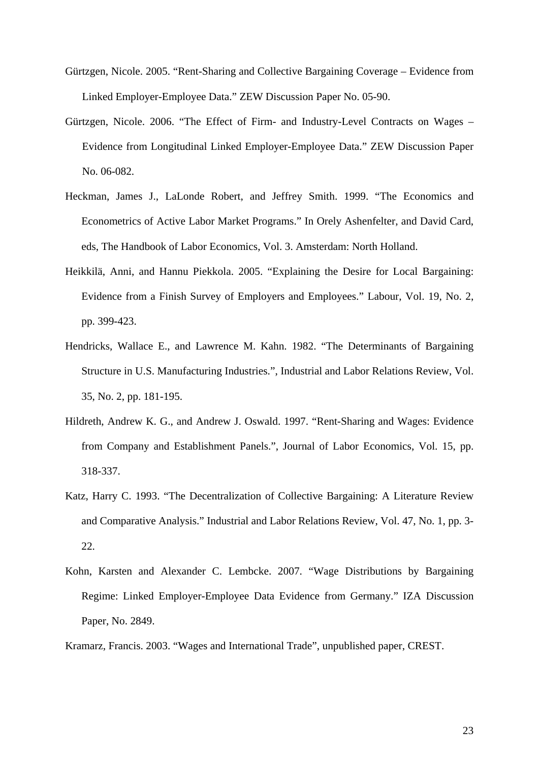- Gürtzgen, Nicole. 2005. "Rent-Sharing and Collective Bargaining Coverage Evidence from Linked Employer-Employee Data." ZEW Discussion Paper No. 05-90.
- Gürtzgen, Nicole. 2006. "The Effect of Firm- and Industry-Level Contracts on Wages Evidence from Longitudinal Linked Employer-Employee Data." ZEW Discussion Paper No. 06-082.
- Heckman, James J., LaLonde Robert, and Jeffrey Smith. 1999. "The Economics and Econometrics of Active Labor Market Programs." In Orely Ashenfelter, and David Card, eds, The Handbook of Labor Economics, Vol. 3. Amsterdam: North Holland.
- Heikkilä, Anni, and Hannu Piekkola. 2005. "Explaining the Desire for Local Bargaining: Evidence from a Finish Survey of Employers and Employees." Labour, Vol. 19, No. 2, pp. 399-423.
- Hendricks, Wallace E., and Lawrence M. Kahn. 1982. "The Determinants of Bargaining Structure in U.S. Manufacturing Industries.", Industrial and Labor Relations Review, Vol. 35, No. 2, pp. 181-195.
- Hildreth, Andrew K. G., and Andrew J. Oswald. 1997. "Rent-Sharing and Wages: Evidence from Company and Establishment Panels.", Journal of Labor Economics, Vol. 15, pp. 318-337.
- Katz, Harry C. 1993. "The Decentralization of Collective Bargaining: A Literature Review and Comparative Analysis." Industrial and Labor Relations Review, Vol. 47, No. 1, pp. 3- 22.
- Kohn, Karsten and Alexander C. Lembcke. 2007. "Wage Distributions by Bargaining Regime: Linked Employer-Employee Data Evidence from Germany." IZA Discussion Paper, No. 2849.
- Kramarz, Francis. 2003. "Wages and International Trade", unpublished paper, CREST.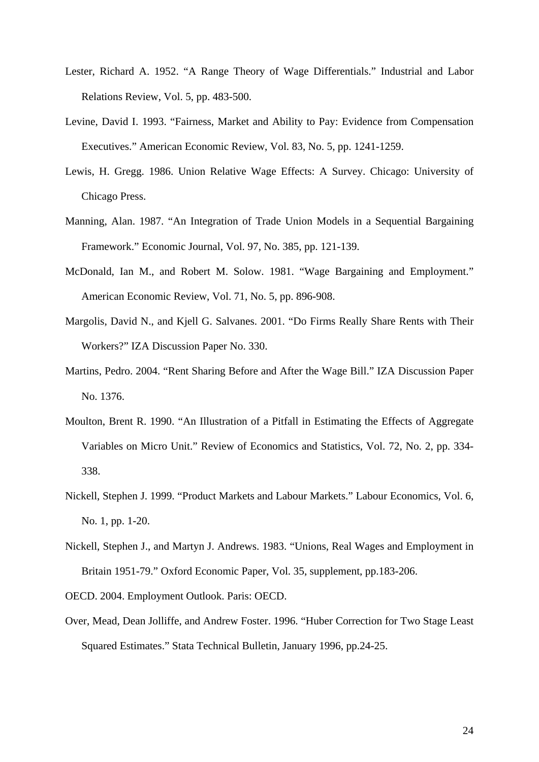- Lester, Richard A. 1952. "A Range Theory of Wage Differentials." Industrial and Labor Relations Review, Vol. 5, pp. 483-500.
- Levine, David I. 1993. "Fairness, Market and Ability to Pay: Evidence from Compensation Executives." American Economic Review, Vol. 83, No. 5, pp. 1241-1259.
- Lewis, H. Gregg. 1986. Union Relative Wage Effects: A Survey. Chicago: University of Chicago Press.
- Manning, Alan. 1987. "An Integration of Trade Union Models in a Sequential Bargaining Framework." Economic Journal, Vol. 97, No. 385, pp. 121-139.
- McDonald, Ian M., and Robert M. Solow. 1981. "Wage Bargaining and Employment." American Economic Review, Vol. 71, No. 5, pp. 896-908.
- Margolis, David N., and Kjell G. Salvanes. 2001. "Do Firms Really Share Rents with Their Workers?" IZA Discussion Paper No. 330.
- Martins, Pedro. 2004. "Rent Sharing Before and After the Wage Bill." IZA Discussion Paper No. 1376.
- Moulton, Brent R. 1990. "An Illustration of a Pitfall in Estimating the Effects of Aggregate Variables on Micro Unit." Review of Economics and Statistics, Vol. 72, No. 2, pp. 334- 338.
- Nickell, Stephen J. 1999. "Product Markets and Labour Markets." Labour Economics, Vol. 6, No. 1, pp. 1-20.
- Nickell, Stephen J., and Martyn J. Andrews. 1983. "Unions, Real Wages and Employment in Britain 1951-79." Oxford Economic Paper, Vol. 35, supplement, pp.183-206.

OECD. 2004. Employment Outlook. Paris: OECD.

Over, Mead, Dean Jolliffe, and Andrew Foster. 1996. "Huber Correction for Two Stage Least Squared Estimates." Stata Technical Bulletin, January 1996, pp.24-25.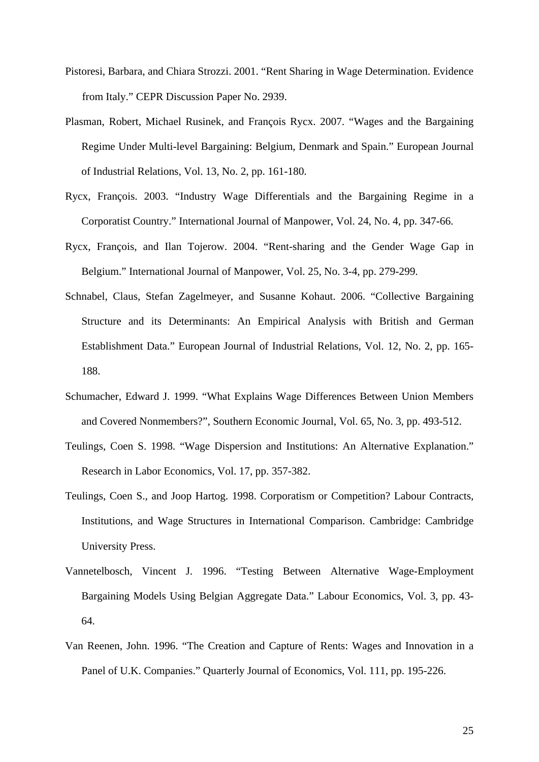- Pistoresi, Barbara, and Chiara Strozzi. 2001. "Rent Sharing in Wage Determination. Evidence from Italy." CEPR Discussion Paper No. 2939.
- Plasman, Robert, Michael Rusinek, and François Rycx. 2007. "Wages and the Bargaining Regime Under Multi-level Bargaining: Belgium, Denmark and Spain." European Journal of Industrial Relations, Vol. 13, No. 2, pp. 161-180.
- Rycx, François. 2003. "Industry Wage Differentials and the Bargaining Regime in a Corporatist Country." International Journal of Manpower, Vol. 24, No. 4, pp. 347-66.
- Rycx, François, and Ilan Tojerow. 2004. "Rent-sharing and the Gender Wage Gap in Belgium." International Journal of Manpower, Vol. 25, No. 3-4, pp. 279-299.
- Schnabel, Claus, Stefan Zagelmeyer, and Susanne Kohaut. 2006. "Collective Bargaining Structure and its Determinants: An Empirical Analysis with British and German Establishment Data." European Journal of Industrial Relations, Vol. 12, No. 2, pp. 165- 188.
- Schumacher, Edward J. 1999. "What Explains Wage Differences Between Union Members and Covered Nonmembers?", Southern Economic Journal, Vol. 65, No. 3, pp. 493-512.
- Teulings, Coen S. 1998. "Wage Dispersion and Institutions: An Alternative Explanation." Research in Labor Economics, Vol. 17, pp. 357-382.
- Teulings, Coen S., and Joop Hartog. 1998. Corporatism or Competition? Labour Contracts, Institutions, and Wage Structures in International Comparison. Cambridge: Cambridge University Press.
- Vannetelbosch, Vincent J. 1996. "Testing Between Alternative Wage-Employment Bargaining Models Using Belgian Aggregate Data." Labour Economics, Vol. 3, pp. 43- 64.
- Van Reenen, John. 1996. "The Creation and Capture of Rents: Wages and Innovation in a Panel of U.K. Companies." Quarterly Journal of Economics, Vol. 111, pp. 195-226.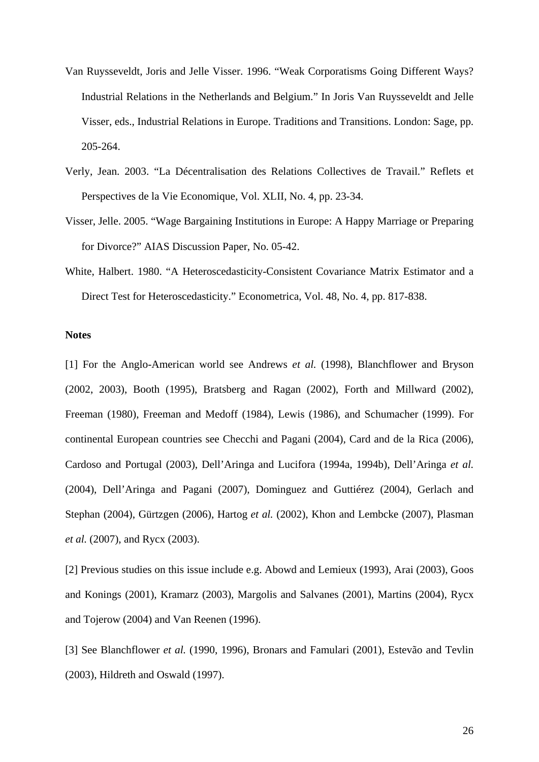- Van Ruysseveldt, Joris and Jelle Visser. 1996. "Weak Corporatisms Going Different Ways? Industrial Relations in the Netherlands and Belgium." In Joris Van Ruysseveldt and Jelle Visser, eds., Industrial Relations in Europe. Traditions and Transitions. London: Sage, pp. 205-264.
- Verly, Jean. 2003. "La Décentralisation des Relations Collectives de Travail." Reflets et Perspectives de la Vie Economique, Vol. XLII, No. 4, pp. 23-34.
- Visser, Jelle. 2005. "Wage Bargaining Institutions in Europe: A Happy Marriage or Preparing for Divorce?" AIAS Discussion Paper, No. 05-42.
- White, Halbert. 1980. "A Heteroscedasticity-Consistent Covariance Matrix Estimator and a Direct Test for Heteroscedasticity." Econometrica, Vol. 48, No. 4, pp. 817-838.

#### **Notes**

[1] For the Anglo-American world see Andrews *et al.* (1998), Blanchflower and Bryson (2002, 2003), Booth (1995), Bratsberg and Ragan (2002), Forth and Millward (2002), Freeman (1980), Freeman and Medoff (1984), Lewis (1986), and Schumacher (1999). For continental European countries see Checchi and Pagani (2004), Card and de la Rica (2006), Cardoso and Portugal (2003), Dell'Aringa and Lucifora (1994a, 1994b), Dell'Aringa *et al.* (2004), Dell'Aringa and Pagani (2007), Dominguez and Guttiérez (2004), Gerlach and Stephan (2004), Gürtzgen (2006), Hartog *et al.* (2002), Khon and Lembcke (2007), Plasman *et al.* (2007), and Rycx (2003).

[2] Previous studies on this issue include e.g. Abowd and Lemieux (1993), Arai (2003), Goos and Konings (2001), Kramarz (2003), Margolis and Salvanes (2001), Martins (2004), Rycx and Tojerow (2004) and Van Reenen (1996).

[3] See Blanchflower *et al.* (1990, 1996), Bronars and Famulari (2001), Estevão and Tevlin (2003), Hildreth and Oswald (1997).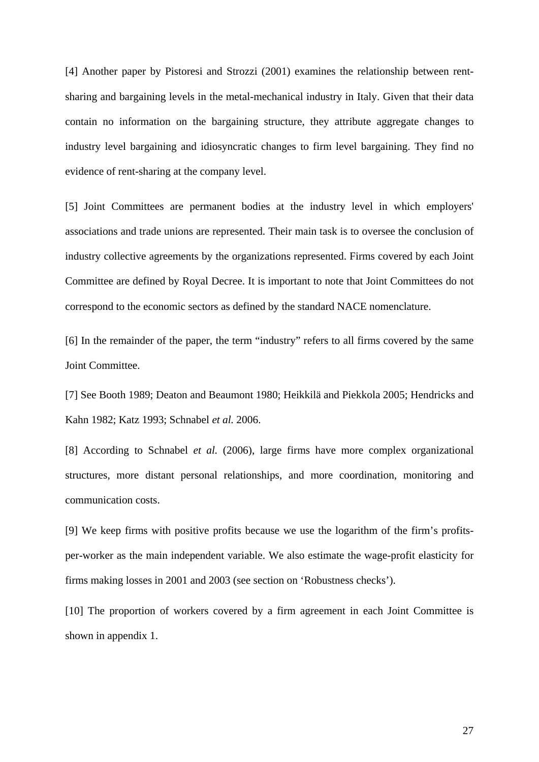[4] Another paper by Pistoresi and Strozzi (2001) examines the relationship between rentsharing and bargaining levels in the metal-mechanical industry in Italy. Given that their data contain no information on the bargaining structure, they attribute aggregate changes to industry level bargaining and idiosyncratic changes to firm level bargaining. They find no evidence of rent-sharing at the company level.

[5] Joint Committees are permanent bodies at the industry level in which employers' associations and trade unions are represented. Their main task is to oversee the conclusion of industry collective agreements by the organizations represented. Firms covered by each Joint Committee are defined by Royal Decree. It is important to note that Joint Committees do not correspond to the economic sectors as defined by the standard NACE nomenclature.

[6] In the remainder of the paper, the term "industry" refers to all firms covered by the same Joint Committee.

[7] See Booth 1989; Deaton and Beaumont 1980; Heikkilä and Piekkola 2005; Hendricks and Kahn 1982; Katz 1993; Schnabel *et al.* 2006.

[8] According to Schnabel *et al.* (2006), large firms have more complex organizational structures, more distant personal relationships, and more coordination, monitoring and communication costs.

[9] We keep firms with positive profits because we use the logarithm of the firm's profitsper-worker as the main independent variable. We also estimate the wage-profit elasticity for firms making losses in 2001 and 2003 (see section on 'Robustness checks').

[10] The proportion of workers covered by a firm agreement in each Joint Committee is shown in appendix 1.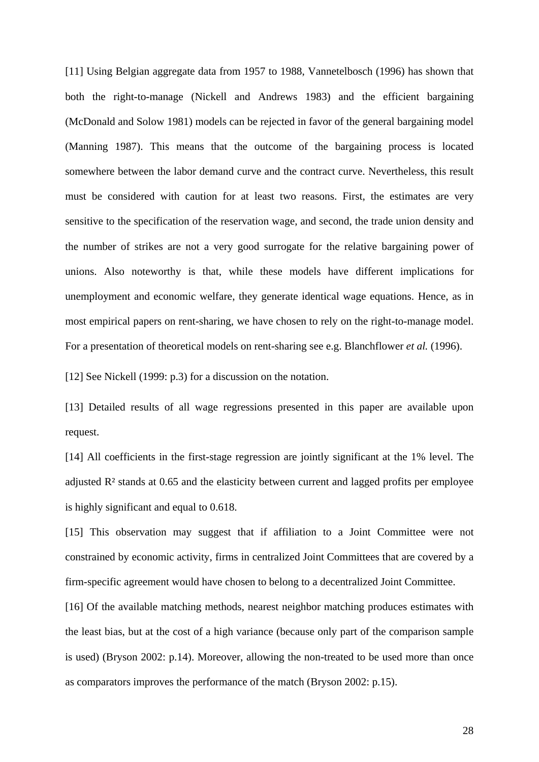[11] Using Belgian aggregate data from 1957 to 1988, Vannetelbosch (1996) has shown that both the right-to-manage (Nickell and Andrews 1983) and the efficient bargaining (McDonald and Solow 1981) models can be rejected in favor of the general bargaining model (Manning 1987). This means that the outcome of the bargaining process is located somewhere between the labor demand curve and the contract curve. Nevertheless, this result must be considered with caution for at least two reasons. First, the estimates are very sensitive to the specification of the reservation wage, and second, the trade union density and the number of strikes are not a very good surrogate for the relative bargaining power of unions. Also noteworthy is that, while these models have different implications for unemployment and economic welfare, they generate identical wage equations. Hence, as in most empirical papers on rent-sharing, we have chosen to rely on the right-to-manage model. For a presentation of theoretical models on rent-sharing see e.g. Blanchflower *et al.* (1996).

[12] See Nickell (1999: p.3) for a discussion on the notation.

[13] Detailed results of all wage regressions presented in this paper are available upon request.

[14] All coefficients in the first-stage regression are jointly significant at the 1% level. The adjusted R² stands at 0.65 and the elasticity between current and lagged profits per employee is highly significant and equal to 0.618.

[15] This observation may suggest that if affiliation to a Joint Committee were not constrained by economic activity, firms in centralized Joint Committees that are covered by a firm-specific agreement would have chosen to belong to a decentralized Joint Committee.

[16] Of the available matching methods, nearest neighbor matching produces estimates with the least bias, but at the cost of a high variance (because only part of the comparison sample is used) (Bryson 2002: p.14). Moreover, allowing the non-treated to be used more than once as comparators improves the performance of the match (Bryson 2002: p.15).

28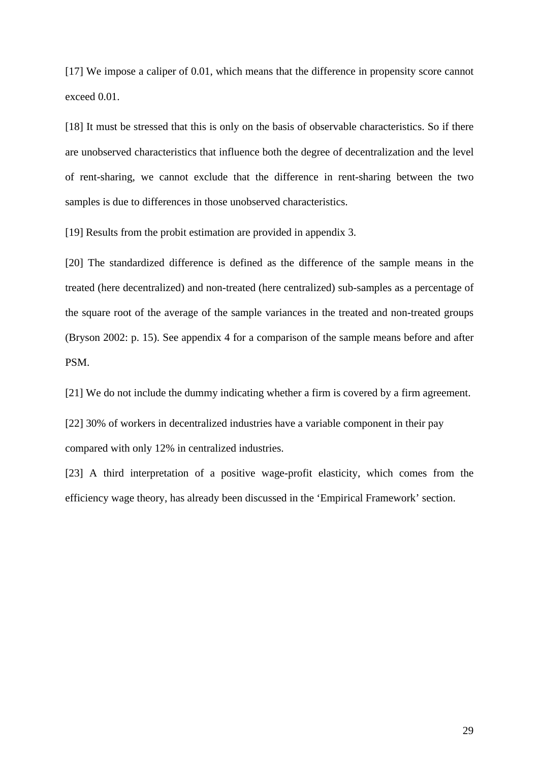[17] We impose a caliper of 0.01, which means that the difference in propensity score cannot exceed 0.01.

[18] It must be stressed that this is only on the basis of observable characteristics. So if there are unobserved characteristics that influence both the degree of decentralization and the level of rent-sharing, we cannot exclude that the difference in rent-sharing between the two samples is due to differences in those unobserved characteristics.

[19] Results from the probit estimation are provided in appendix 3.

[20] The standardized difference is defined as the difference of the sample means in the treated (here decentralized) and non-treated (here centralized) sub-samples as a percentage of the square root of the average of the sample variances in the treated and non-treated groups (Bryson 2002: p. 15). See appendix 4 for a comparison of the sample means before and after PSM.

[21] We do not include the dummy indicating whether a firm is covered by a firm agreement.

[22] 30% of workers in decentralized industries have a variable component in their pay compared with only 12% in centralized industries.

[23] A third interpretation of a positive wage-profit elasticity, which comes from the efficiency wage theory, has already been discussed in the 'Empirical Framework' section.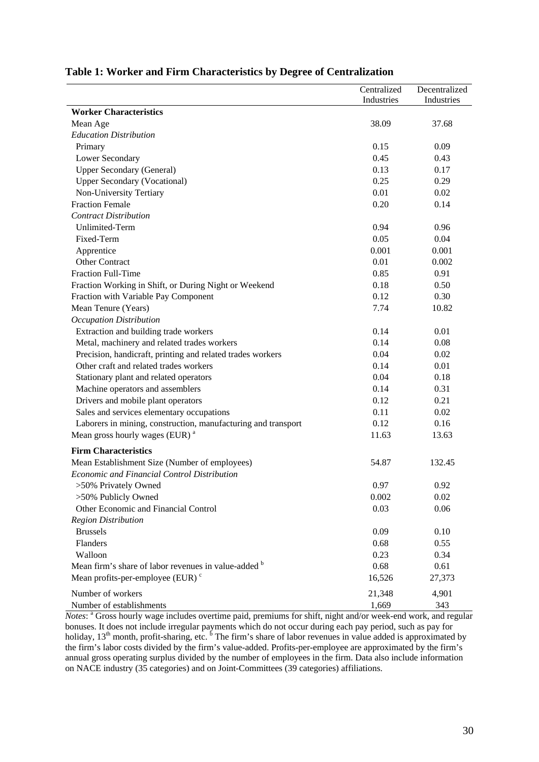|                                                               | Centralized | Decentralized |
|---------------------------------------------------------------|-------------|---------------|
|                                                               | Industries  | Industries    |
| <b>Worker Characteristics</b>                                 |             |               |
| Mean Age                                                      | 38.09       | 37.68         |
| <b>Education Distribution</b>                                 |             |               |
| Primary                                                       | 0.15        | 0.09          |
| Lower Secondary                                               | 0.45        | 0.43          |
| <b>Upper Secondary (General)</b>                              | 0.13        | 0.17          |
| <b>Upper Secondary (Vocational)</b>                           | 0.25        | 0.29          |
| Non-University Tertiary                                       | 0.01        | 0.02          |
| <b>Fraction Female</b>                                        | 0.20        | 0.14          |
| <b>Contract Distribution</b>                                  |             |               |
| <b>Unlimited-Term</b>                                         | 0.94        | 0.96          |
| Fixed-Term                                                    | 0.05        | 0.04          |
| Apprentice                                                    | 0.001       | 0.001         |
| <b>Other Contract</b>                                         | 0.01        | 0.002         |
| <b>Fraction Full-Time</b>                                     | 0.85        | 0.91          |
| Fraction Working in Shift, or During Night or Weekend         | 0.18        | 0.50          |
| Fraction with Variable Pay Component                          | 0.12        | 0.30          |
| Mean Tenure (Years)                                           | 7.74        | 10.82         |
| <b>Occupation Distribution</b>                                |             |               |
| Extraction and building trade workers                         | 0.14        | 0.01          |
| Metal, machinery and related trades workers                   | 0.14        | 0.08          |
| Precision, handicraft, printing and related trades workers    | 0.04        | 0.02          |
| Other craft and related trades workers                        | 0.14        | 0.01          |
| Stationary plant and related operators                        | 0.04        | 0.18          |
| Machine operators and assemblers                              | 0.14        | 0.31          |
| Drivers and mobile plant operators                            | 0.12        | 0.21          |
| Sales and services elementary occupations                     | 0.11        | 0.02          |
| Laborers in mining, construction, manufacturing and transport | 0.12        | 0.16          |
| Mean gross hourly wages (EUR) <sup>a</sup>                    | 11.63       | 13.63         |
| <b>Firm Characteristics</b>                                   |             |               |
| Mean Establishment Size (Number of employees)                 | 54.87       | 132.45        |
| <b>Economic and Financial Control Distribution</b>            |             |               |
| >50% Privately Owned                                          | 0.97        | 0.92          |
| >50% Publicly Owned                                           | 0.002       | 0.02          |
| Other Economic and Financial Control                          | 0.03        | 0.06          |
| <b>Region Distribution</b>                                    |             |               |
| <b>Brussels</b>                                               | 0.09        | 0.10          |
| Flanders                                                      | 0.68        | 0.55          |
| Walloon                                                       | 0.23        | 0.34          |
| Mean firm's share of labor revenues in value-added b          | 0.68        | 0.61          |
| Mean profits-per-employee (EUR) <sup>c</sup>                  | 16,526      | 27,373        |
|                                                               |             |               |
| Number of workers                                             | 21,348      | 4,901         |
| Number of establishments                                      | 1,669       | 343           |

#### **Table 1: Worker and Firm Characteristics by Degree of Centralization**

*Notes*: <sup>a</sup> Gross hourly wage includes overtime paid, premiums for shift, night and/or week-end work, and regular bonuses. It does not include irregular payments which do not occur during each pay period, such as pay for holiday,  $13<sup>th</sup>$  month, profit-sharing, etc.  $<sup>b</sup>$  The firm's share of labor revenues in value added is approximated by</sup> the firm's labor costs divided by the firm's value-added. Profits-per-employee are approximated by the firm's annual gross operating surplus divided by the number of employees in the firm. Data also include information on NACE industry (35 categories) and on Joint-Committees (39 categories) affiliations.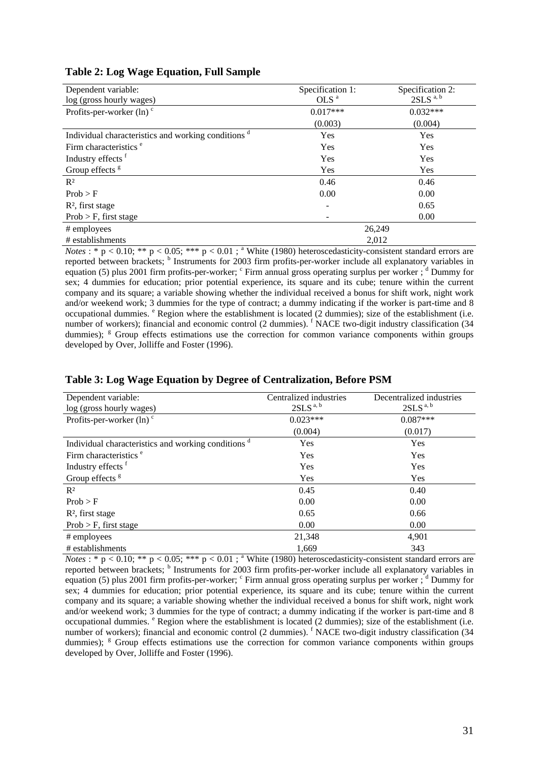| Dependent variable:                                            | Specification 1: | Specification 2:       |
|----------------------------------------------------------------|------------------|------------------------|
| log (gross hourly wages)                                       | OLS <sup>a</sup> | $2SLS$ <sup>a, b</sup> |
| Profits-per-worker $(ln)$ <sup>c</sup>                         | $0.017***$       | $0.032***$             |
|                                                                | (0.003)          | (0.004)                |
| Individual characteristics and working conditions <sup>d</sup> | Yes              | Yes                    |
| Firm characteristics <sup>e</sup>                              | Yes              | Yes                    |
| Industry effects <sup>f</sup>                                  | Yes              | Yes                    |
| Group effects <sup>g</sup>                                     | Yes              | Yes                    |
| $R^2$                                                          | 0.46             | 0.46                   |
| Prob > F                                                       | 0.00             | 0.00                   |
| $R2$ , first stage                                             |                  | 0.65                   |
| $Prob > F$ , first stage                                       |                  | 0.00                   |
| # employees                                                    |                  | 26,249                 |
| # establishments                                               |                  | 2.012                  |

#### **Table 2: Log Wage Equation, Full Sample**

*Notes* : \*  $p < 0.10$ ; \*\*  $p < 0.05$ ; \*\*\*  $p < 0.01$ ; \* White (1980) heteroscedasticity-consistent standard errors are reported between brackets; <sup>b</sup> Instruments for 2003 firm profits-per-worker include all explanatory variables in equation (5) plus 2001 firm profits-per-worker; <sup>c</sup> Firm annual gross operating surplus per worker; <sup>d</sup> Dummy for sex; 4 dummies for education; prior potential experience, its square and its cube; tenure within the current company and its square; a variable showing whether the individual received a bonus for shift work, night work and/or weekend work; 3 dummies for the type of contract; a dummy indicating if the worker is part-time and 8 occupational dummies. <sup>e</sup> Region where the establishment is located (2 dummies); size of the establishment (i.e. number of workers); financial and economic control (2 dummies). <sup>f</sup> NACE two-digit industry classification (34 dummies); <sup>g</sup> Group effects estimations use the correction for common variance components within groups developed by Over, Jolliffe and Foster (1996).

| Dependent variable:                                            | Centralized industries | Decentralized industries |
|----------------------------------------------------------------|------------------------|--------------------------|
| log (gross hourly wages)                                       | 2SLS <sup>a, b</sup>   | $2SLS$ <sup>a, b</sup>   |
| Profits-per-worker $(ln)$ <sup>c</sup>                         | $0.023***$             | $0.087***$               |
|                                                                | (0.004)                | (0.017)                  |
| Individual characteristics and working conditions <sup>d</sup> | <b>Yes</b>             | Yes                      |
| Firm characteristics <sup>e</sup>                              | Yes                    | Yes                      |
| Industry effects <sup>f</sup>                                  | Yes                    | Yes                      |
| Group effects <sup>g</sup>                                     | Yes                    | <b>Yes</b>               |
| $R^2$                                                          | 0.45                   | 0.40                     |
| Prob > F                                                       | 0.00                   | 0.00                     |
| $R2$ , first stage                                             | 0.65                   | 0.66                     |
| $Prob > F$ , first stage                                       | 0.00                   | 0.00                     |
| # employees                                                    | 21,348                 | 4,901                    |
| # establishments                                               | 1,669                  | 343                      |

#### **Table 3: Log Wage Equation by Degree of Centralization, Before PSM**

*Notes* : \*  $p < 0.10$ ; \*\*  $p < 0.05$ ; \*\*\*  $p < 0.01$ ; \* White (1980) heteroscedasticity-consistent standard errors are reported between brackets; <sup>b</sup> Instruments for 2003 firm profits-per-worker include all explanatory variables in equation (5) plus 2001 firm profits-per-worker; <sup>c</sup> Firm annual gross operating surplus per worker; <sup>d</sup> Dummy for sex; 4 dummies for education; prior potential experience, its square and its cube; tenure within the current company and its square; a variable showing whether the individual received a bonus for shift work, night work and/or weekend work; 3 dummies for the type of contract; a dummy indicating if the worker is part-time and 8 occupational dummies. <sup>e</sup> Region where the establishment is located (2 dummies); size of the establishment (i.e. number of workers); financial and economic control (2 dummies). <sup>f</sup> NACE two-digit industry classification (34 dummies); <sup>g</sup> Group effects estimations use the correction for common variance components within groups developed by Over, Jolliffe and Foster (1996).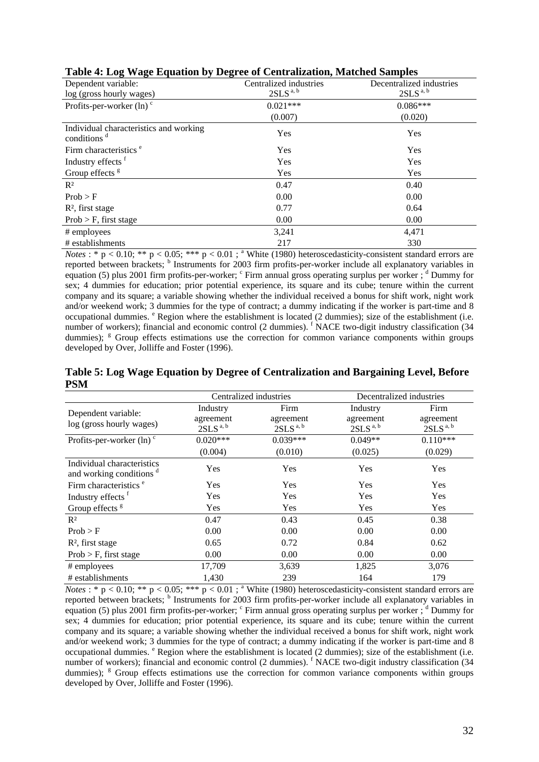|                                                                   | Table 4. Dog 31 age Equation by Degree of Centralization, matches bampies |                          |  |  |  |  |
|-------------------------------------------------------------------|---------------------------------------------------------------------------|--------------------------|--|--|--|--|
| Dependent variable:                                               | Centralized industries                                                    | Decentralized industries |  |  |  |  |
| log (gross hourly wages)                                          | $2SLS$ <sup>a, b</sup>                                                    | 2SLS <sup>a, b</sup>     |  |  |  |  |
| Profits-per-worker $(ln)$ <sup>c</sup>                            | $0.021***$                                                                | $0.086***$               |  |  |  |  |
|                                                                   | (0.007)                                                                   | (0.020)                  |  |  |  |  |
| Individual characteristics and working<br>conditions <sup>d</sup> | Yes                                                                       | Yes                      |  |  |  |  |
| Firm characteristics <sup>e</sup>                                 | Yes                                                                       | Yes                      |  |  |  |  |
| Industry effects <sup>f</sup>                                     | Yes                                                                       | Yes                      |  |  |  |  |
| Group effects <sup>g</sup>                                        | Yes                                                                       | Yes                      |  |  |  |  |
| $R^2$                                                             | 0.47                                                                      | 0.40                     |  |  |  |  |
| Prob > F                                                          | 0.00                                                                      | 0.00                     |  |  |  |  |
| $R2$ , first stage                                                | 0.77                                                                      | 0.64                     |  |  |  |  |
| $Prob > F$ , first stage                                          | 0.00                                                                      | 0.00                     |  |  |  |  |
| # employees                                                       | 3,241                                                                     | 4,471                    |  |  |  |  |
| # establishments                                                  | 217                                                                       | 330                      |  |  |  |  |

| Table 4: Log Wage Equation by Degree of Centralization, Matched Samples |  |
|-------------------------------------------------------------------------|--|
|-------------------------------------------------------------------------|--|

*Notes* : \*  $p < 0.10$ ; \*\*  $p < 0.05$ ; \*\*\*  $p < 0.01$ ; \* White (1980) heteroscedasticity-consistent standard errors are reported between brackets; <sup>b</sup> Instruments for 2003 firm profits-per-worker include all explanatory variables in equation (5) plus 2001 firm profits-per-worker; <sup>c</sup> Firm annual gross operating surplus per worker; <sup>d</sup> Dummy for sex; 4 dummies for education; prior potential experience, its square and its cube; tenure within the current company and its square; a variable showing whether the individual received a bonus for shift work, night work and/or weekend work; 3 dummies for the type of contract; a dummy indicating if the worker is part-time and 8 occupational dummies. <sup>e</sup> Region where the establishment is located (2 dummies); size of the establishment (i.e. number of workers); financial and economic control (2 dummies). <sup>f</sup> NACE two-digit industry classification (34 dummies); <sup>g</sup> Group effects estimations use the correction for common variance components within groups developed by Over, Jolliffe and Foster (1996).

|                                                                   | Centralized industries              |                                     | Decentralized industries   |                                     |
|-------------------------------------------------------------------|-------------------------------------|-------------------------------------|----------------------------|-------------------------------------|
| Dependent variable:                                               | Industry                            | Firm                                | Industry                   | Firm                                |
| log (gross hourly wages)                                          | agreement<br>$2SLS$ <sup>a, b</sup> | agreement<br>$2SLS$ <sup>a, b</sup> | agreement<br>$2SLS^{a, b}$ | agreement<br>$2SLS$ <sup>a, b</sup> |
| Profits-per-worker $(ln)$ <sup>c</sup>                            | $0.020***$                          | $0.039***$                          | $0.049**$                  | $0.110***$                          |
|                                                                   | (0.004)                             | (0.010)                             | (0.025)                    | (0.029)                             |
| Individual characteristics<br>and working conditions <sup>d</sup> | Yes                                 | Yes                                 | Yes                        | Yes                                 |
| Firm characteristics <sup>e</sup>                                 | <b>Yes</b>                          | <b>Yes</b>                          | <b>Yes</b>                 | <b>Yes</b>                          |
| Industry effects f                                                | Yes                                 | Yes                                 | Yes                        | Yes                                 |
| Group effects <sup>g</sup>                                        | Yes                                 | Yes                                 | Yes                        | Yes                                 |
| $R^2$                                                             | 0.47                                | 0.43                                | 0.45                       | 0.38                                |
| Prob > F                                                          | 0.00                                | 0.00                                | 0.00                       | 0.00                                |
| $R2$ , first stage                                                | 0.65                                | 0.72                                | 0.84                       | 0.62                                |
| $Prob > F$ , first stage                                          | 0.00                                | 0.00                                | 0.00                       | 0.00                                |
| # employees                                                       | 17,709                              | 3,639                               | 1,825                      | 3,076                               |
| # establishments                                                  | 1,430                               | 239                                 | 164                        | 179                                 |

**Table 5: Log Wage Equation by Degree of Centralization and Bargaining Level, Before PSM** 

*Notes* : \*  $p < 0.10$ ; \*\*  $p < 0.05$ ; \*\*\*  $p < 0.01$ ; \* White (1980) heteroscedasticity-consistent standard errors are reported between brackets; <sup>b</sup> Instruments for 2003 firm profits-per-worker include all explanatory variables in equation (5) plus 2001 firm profits-per-worker; <sup>c</sup> Firm annual gross operating surplus per worker; <sup>d</sup> Dummy for sex; 4 dummies for education; prior potential experience, its square and its cube; tenure within the current company and its square; a variable showing whether the individual received a bonus for shift work, night work and/or weekend work; 3 dummies for the type of contract; a dummy indicating if the worker is part-time and 8 occupational dummies. <sup>e</sup> Region where the establishment is located (2 dummies); size of the establishment (i.e. number of workers); financial and economic control (2 dummies). <sup>f</sup> NACE two-digit industry classification (34 dummies); <sup>g</sup> Group effects estimations use the correction for common variance components within groups developed by Over, Jolliffe and Foster (1996).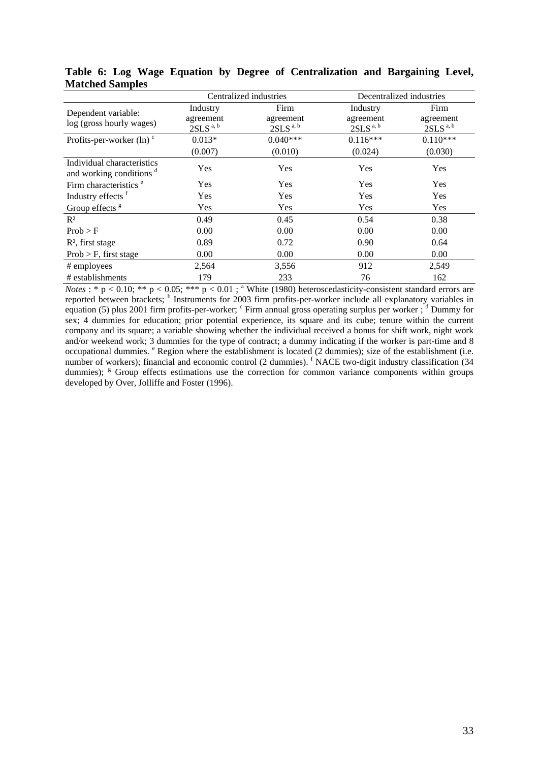|                                                                   | Centralized industries            |                                     | Decentralized industries          |                                   |
|-------------------------------------------------------------------|-----------------------------------|-------------------------------------|-----------------------------------|-----------------------------------|
| Dependent variable:                                               | Industry                          | Firm                                | Industry                          | Firm                              |
| log (gross hourly wages)                                          | agreement<br>$2\mathrm{SLS}$ a, b | agreement<br>$2SLS$ <sup>a, b</sup> | agreement<br>2SLS <sup>a, b</sup> | agreement<br>2SLS <sup>a, b</sup> |
| Profits-per-worker $(ln)$ <sup>c</sup>                            | $0.013*$                          | $0.040***$                          | $0.116***$                        | $0.110***$                        |
|                                                                   | (0.007)                           | (0.010)                             | (0.024)                           | (0.030)                           |
| Individual characteristics<br>and working conditions <sup>d</sup> | Yes                               | Yes                                 | Yes                               | Yes                               |
| Firm characteristics <sup>e</sup>                                 | <b>Yes</b>                        | Yes                                 | <b>Yes</b>                        | Yes                               |
| Industry effects <sup>f</sup>                                     | Yes                               | <b>Yes</b>                          | Yes                               | Yes                               |
| Group effects <sup>g</sup>                                        | Yes                               | <b>Yes</b>                          | <b>Yes</b>                        | <b>Yes</b>                        |
| $R^2$                                                             | 0.49                              | 0.45                                | 0.54                              | 0.38                              |
| Prob > F                                                          | 0.00                              | 0.00                                | 0.00                              | 0.00                              |
| $R2$ , first stage                                                | 0.89                              | 0.72                                | 0.90                              | 0.64                              |
| $Prob > F$ , first stage                                          | 0.00                              | 0.00                                | 0.00                              | 0.00                              |
| # employees                                                       | 2,564                             | 3,556                               | 912                               | 2,549                             |
| # establishments                                                  | 179                               | 233                                 | 76                                | 162                               |

**Table 6: Log Wage Equation by Degree of Centralization and Bargaining Level, Matched Samples** 

*Notes* : \*  $p < 0.10$ ; \*\*  $p < 0.05$ ; \*\*\*  $p < 0.01$ ; \* White (1980) heteroscedasticity-consistent standard errors are reported between brackets; <sup>b</sup> Instruments for 2003 firm profits-per-worker include all explanatory variables in equation (5) plus 2001 firm profits-per-worker; <sup>c</sup> Firm annual gross operating surplus per worker; <sup>d</sup> Dummy for sex; 4 dummies for education; prior potential experience, its square and its cube; tenure within the current company and its square; a variable showing whether the individual received a bonus for shift work, night work and/or weekend work; 3 dummies for the type of contract; a dummy indicating if the worker is part-time and 8 occupational dummies. <sup>e</sup> Region where the establishment is located (2 dummies); size of the establishment (i.e. number of workers); financial and economic control (2 dummies). <sup>f</sup> NACE two-digit industry classification (34 dummies); <sup>g</sup> Group effects estimations use the correction for common variance components within groups developed by Over, Jolliffe and Foster (1996).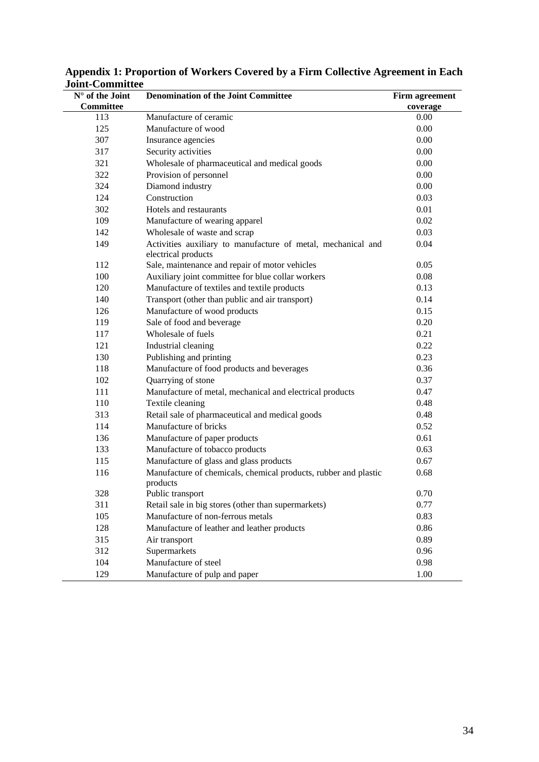| $N^{\circ}$ of the Joint | <b>Denomination of the Joint Committee</b>                                          | Firm agreement |
|--------------------------|-------------------------------------------------------------------------------------|----------------|
| Committee                |                                                                                     | coverage       |
| 113                      | Manufacture of ceramic                                                              | 0.00           |
| 125                      | Manufacture of wood                                                                 | 0.00           |
| 307                      | Insurance agencies                                                                  | 0.00           |
| 317                      | Security activities                                                                 | 0.00           |
| 321                      | Wholesale of pharmaceutical and medical goods                                       | 0.00           |
| 322                      | Provision of personnel                                                              | 0.00           |
| 324                      | Diamond industry                                                                    | 0.00           |
| 124                      | Construction                                                                        | 0.03           |
| 302                      | Hotels and restaurants                                                              | 0.01           |
| 109                      | Manufacture of wearing apparel                                                      | 0.02           |
| 142                      | Wholesale of waste and scrap                                                        | 0.03           |
| 149                      | Activities auxiliary to manufacture of metal, mechanical and<br>electrical products | 0.04           |
| 112                      | Sale, maintenance and repair of motor vehicles                                      | 0.05           |
| 100                      | Auxiliary joint committee for blue collar workers                                   | 0.08           |
| 120                      | Manufacture of textiles and textile products                                        | 0.13           |
| 140                      | Transport (other than public and air transport)                                     | 0.14           |
| 126                      | Manufacture of wood products                                                        | 0.15           |
| 119                      | Sale of food and beverage                                                           | 0.20           |
| 117                      | Wholesale of fuels                                                                  | 0.21           |
| 121                      | Industrial cleaning                                                                 | 0.22           |
| 130                      | Publishing and printing                                                             | 0.23           |
| 118                      | Manufacture of food products and beverages                                          | 0.36           |
| 102                      | Quarrying of stone                                                                  | 0.37           |
| 111                      | Manufacture of metal, mechanical and electrical products                            | 0.47           |
| 110                      | Textile cleaning                                                                    | 0.48           |
| 313                      | Retail sale of pharmaceutical and medical goods                                     | 0.48           |
| 114                      | Manufacture of bricks                                                               | 0.52           |
| 136                      | Manufacture of paper products                                                       | 0.61           |
| 133                      | Manufacture of tobacco products                                                     | 0.63           |
| 115                      | Manufacture of glass and glass products                                             | 0.67           |
| 116                      | Manufacture of chemicals, chemical products, rubber and plastic<br>products         | 0.68           |
| 328                      | Public transport                                                                    | 0.70           |
| 311                      | Retail sale in big stores (other than supermarkets)                                 | 0.77           |
| 105                      | Manufacture of non-ferrous metals                                                   | 0.83           |
| 128                      | Manufacture of leather and leather products                                         | 0.86           |
| 315                      | Air transport                                                                       | 0.89           |
| 312                      | Supermarkets                                                                        | 0.96           |
| 104                      | Manufacture of steel                                                                | 0.98           |
| 129                      | Manufacture of pulp and paper                                                       | 1.00           |

**Appendix 1: Proportion of Workers Covered by a Firm Collective Agreement in Each Joint-Committee**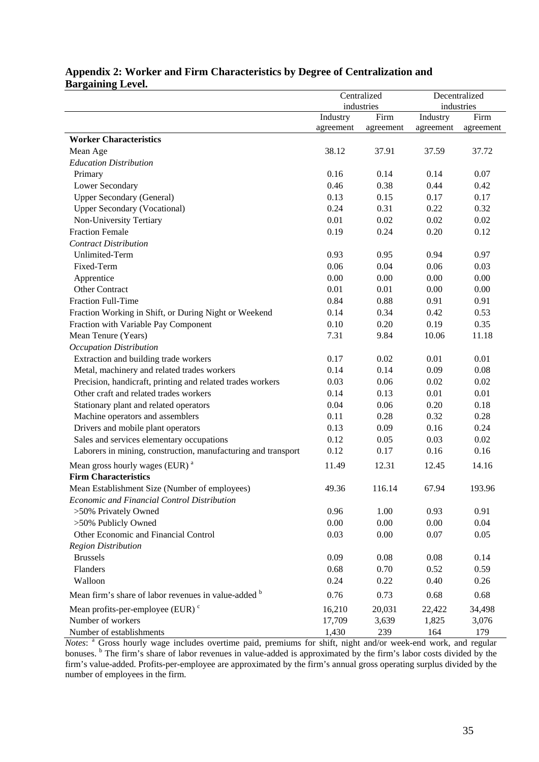|                                                               | Centralized      |           | Decentralized |           |
|---------------------------------------------------------------|------------------|-----------|---------------|-----------|
|                                                               | industries       |           | industries    |           |
|                                                               | Industry<br>Firm |           | Industry      | Firm      |
|                                                               | agreement        | agreement | agreement     | agreement |
| <b>Worker Characteristics</b>                                 |                  |           |               |           |
| Mean Age                                                      | 38.12            | 37.91     | 37.59         | 37.72     |
| <b>Education Distribution</b>                                 |                  |           |               |           |
| Primary                                                       | 0.16             | 0.14      | 0.14          | 0.07      |
| Lower Secondary                                               | 0.46             | 0.38      | 0.44          | 0.42      |
| <b>Upper Secondary (General)</b>                              | 0.13             | 0.15      | 0.17          | 0.17      |
| <b>Upper Secondary (Vocational)</b>                           | 0.24             | 0.31      | 0.22          | 0.32      |
| Non-University Tertiary                                       | 0.01             | 0.02      | 0.02          | 0.02      |
| <b>Fraction Female</b>                                        | 0.19             | 0.24      | 0.20          | 0.12      |
| <b>Contract Distribution</b>                                  |                  |           |               |           |
| <b>Unlimited-Term</b>                                         | 0.93             | 0.95      | 0.94          | 0.97      |
| Fixed-Term                                                    | 0.06             | 0.04      | 0.06          | 0.03      |
| Apprentice                                                    | 0.00             | 0.00      | 0.00          | 0.00      |
| <b>Other Contract</b>                                         | 0.01             | 0.01      | 0.00          | 0.00      |
| Fraction Full-Time                                            | 0.84             | 0.88      | 0.91          | 0.91      |
| Fraction Working in Shift, or During Night or Weekend         | 0.14             | 0.34      | 0.42          | 0.53      |
| Fraction with Variable Pay Component                          | 0.10             | 0.20      | 0.19          | 0.35      |
| Mean Tenure (Years)                                           | 7.31             | 9.84      | 10.06         | 11.18     |
| Occupation Distribution                                       |                  |           |               |           |
| Extraction and building trade workers                         | 0.17             | 0.02      | 0.01          | 0.01      |
| Metal, machinery and related trades workers                   | 0.14             | 0.14      | 0.09          | 0.08      |
| Precision, handicraft, printing and related trades workers    | 0.03             | 0.06      | 0.02          | 0.02      |
| Other craft and related trades workers                        | 0.14             | 0.13      | 0.01          | 0.01      |
| Stationary plant and related operators                        | 0.04             | 0.06      | 0.20          | 0.18      |
| Machine operators and assemblers                              | 0.11             | 0.28      | 0.32          | 0.28      |
| Drivers and mobile plant operators                            | 0.13             | 0.09      | 0.16          | 0.24      |
| Sales and services elementary occupations                     | 0.12             | 0.05      | 0.03          | 0.02      |
| Laborers in mining, construction, manufacturing and transport | 0.12             | 0.17      | 0.16          | 0.16      |
| Mean gross hourly wages (EUR) <sup>a</sup>                    | 11.49            | 12.31     | 12.45         | 14.16     |
| <b>Firm Characteristics</b>                                   |                  |           |               |           |
| Mean Establishment Size (Number of employees)                 | 49.36            | 116.14    | 67.94         | 193.96    |
| Economic and Financial Control Distribution                   |                  |           |               |           |
| >50% Privately Owned                                          | 0.96             | 1.00      | 0.93          | 0.91      |
| >50% Publicly Owned                                           | 0.00             | 0.00      | 0.00          | 0.04      |
| Other Economic and Financial Control                          | 0.03             | 0.00      | 0.07          | 0.05      |
| <b>Region Distribution</b>                                    |                  |           |               |           |
| <b>Brussels</b>                                               | 0.09             | 0.08      | 0.08          | 0.14      |
| Flanders                                                      | 0.68             | 0.70      | 0.52          | 0.59      |
| Walloon                                                       | 0.24             | 0.22      | 0.40          | 0.26      |
| Mean firm's share of labor revenues in value-added b          | 0.76             | 0.73      | 0.68          | 0.68      |
| Mean profits-per-employee (EUR) $\degree$                     | 16,210           | 20,031    | 22,422        | 34,498    |
| Number of workers                                             | 17,709           | 3,639     | 1,825         | 3,076     |
| Number of establishments                                      | 1,430            | 239       | 164           | 179       |

#### **Appendix 2: Worker and Firm Characteristics by Degree of Centralization and Bargaining Level.**

*Notes*: <sup>a</sup> Gross hourly wage includes overtime paid, premiums for shift, night and/or week-end work, and regular bonuses. <sup>b</sup> The firm's share of labor revenues in value-added is approximated by the firm's labor costs divided by the firm's value-added. Profits-per-employee are approximated by the firm's annual gross operating surplus divided by the number of employees in the firm.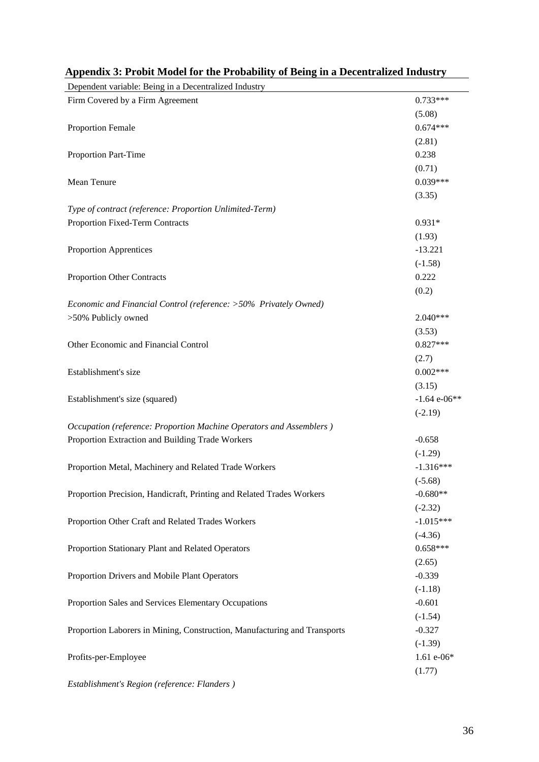| Dependent variable: Being in a Decentralized Industry                     |                |
|---------------------------------------------------------------------------|----------------|
| Firm Covered by a Firm Agreement                                          | $0.733***$     |
|                                                                           | (5.08)         |
| <b>Proportion Female</b>                                                  | $0.674***$     |
|                                                                           | (2.81)         |
| Proportion Part-Time                                                      | 0.238          |
|                                                                           | (0.71)         |
| Mean Tenure                                                               | $0.039***$     |
|                                                                           | (3.35)         |
| Type of contract (reference: Proportion Unlimited-Term)                   |                |
| Proportion Fixed-Term Contracts                                           | $0.931*$       |
|                                                                           | (1.93)         |
| Proportion Apprentices                                                    | $-13.221$      |
|                                                                           | $(-1.58)$      |
| Proportion Other Contracts                                                | 0.222          |
|                                                                           | (0.2)          |
| Economic and Financial Control (reference: >50% Privately Owned)          |                |
| >50% Publicly owned                                                       | $2.040***$     |
|                                                                           | (3.53)         |
| Other Economic and Financial Control                                      | $0.827***$     |
|                                                                           | (2.7)          |
| Establishment's size                                                      | $0.002***$     |
|                                                                           | (3.15)         |
| Establishment's size (squared)                                            | $-1.64$ e-06** |
|                                                                           | $(-2.19)$      |
| Occupation (reference: Proportion Machine Operators and Assemblers)       |                |
| Proportion Extraction and Building Trade Workers                          | $-0.658$       |
|                                                                           | $(-1.29)$      |
| Proportion Metal, Machinery and Related Trade Workers                     | $-1.316***$    |
|                                                                           | $(-5.68)$      |
| Proportion Precision, Handicraft, Printing and Related Trades Workers     | $-0.680**$     |
|                                                                           | $(-2.32)$      |
| Proportion Other Craft and Related Trades Workers                         | $-1.015***$    |
|                                                                           | $(-4.36)$      |
| Proportion Stationary Plant and Related Operators                         | $0.658***$     |
|                                                                           | (2.65)         |
| Proportion Drivers and Mobile Plant Operators                             | $-0.339$       |
|                                                                           | $(-1.18)$      |
| Proportion Sales and Services Elementary Occupations                      | $-0.601$       |
|                                                                           | $(-1.54)$      |
| Proportion Laborers in Mining, Construction, Manufacturing and Transports | $-0.327$       |
|                                                                           | $(-1.39)$      |
| Profits-per-Employee                                                      | $1.61 e-06*$   |
|                                                                           | (1.77)         |
| Establishment's Region (reference: Flanders)                              |                |

| Appendix 3: Probit Model for the Probability of Being in a Decentralized Industry |  |
|-----------------------------------------------------------------------------------|--|
|                                                                                   |  |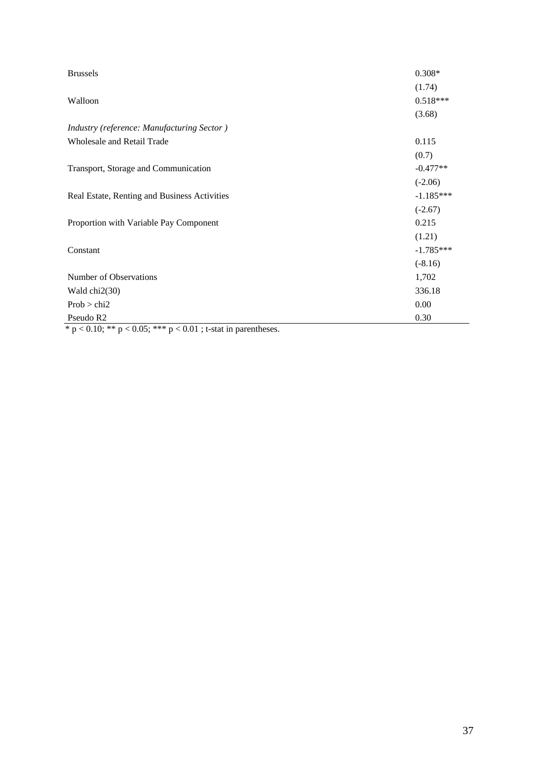| <b>Brussels</b>                                                      | $0.308*$    |
|----------------------------------------------------------------------|-------------|
|                                                                      | (1.74)      |
| Walloon                                                              | $0.518***$  |
|                                                                      | (3.68)      |
| Industry (reference: Manufacturing Sector)                           |             |
| <b>Wholesale and Retail Trade</b>                                    | 0.115       |
|                                                                      | (0.7)       |
| Transport, Storage and Communication                                 | $-0.477**$  |
|                                                                      | $(-2.06)$   |
| Real Estate, Renting and Business Activities                         | $-1.185***$ |
|                                                                      | $(-2.67)$   |
| Proportion with Variable Pay Component                               | 0.215       |
|                                                                      | (1.21)      |
| Constant                                                             | $-1.785***$ |
|                                                                      | $(-8.16)$   |
| Number of Observations                                               | 1,702       |
| Wald $chi2(30)$                                                      | 336.18      |
| Prob > chi2                                                          | 0.00        |
| Pseudo R2<br>$\sim$ $\sim$<br>$0.07 \pm 0.04$ $0.04$ $0.04$<br>1940. | 0.30        |

 $* p < 0.10$ ; \*\*  $p < 0.05$ ; \*\*\*  $p < 0.01$ ; t-stat in parentheses.